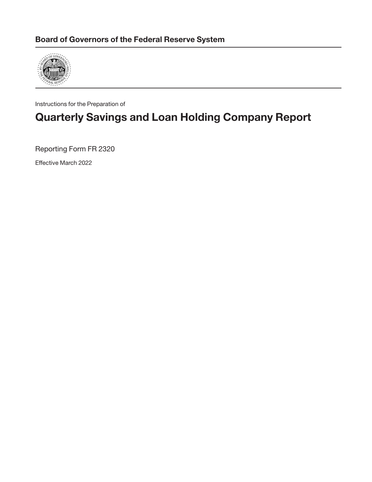

Instructions for the Preparation of

# **Quarterly Savings and Loan Holding Company Report**

Reporting Form FR 2320

Effective March 2022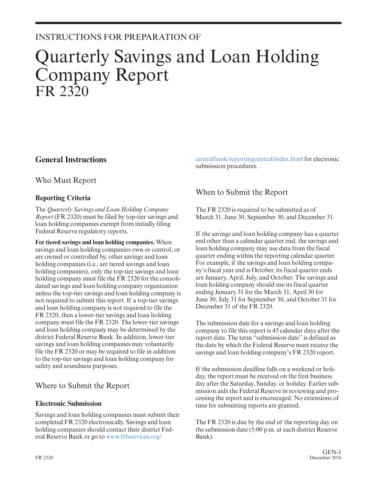## INSTRUCTIONS FOR PREPARATION OF

# Quarterly Savings and Loan Holding Company Report FR 2320

## **General Instructions**

Who Must Report

### **Reporting Criteria**

The *Quarterly Savings and Loan Holding Company Report* (FR 2320) must be filed by top-tier savings and loan holding companies exempt from initially filing Federal Reserve regulatory reports.

**For tiered savings and loan holding companies.** When savings and loan holding companies own or control, or are owned or controlled by, other savings and loan holding companies (i.e., are tiered savings and loan holding companies), only the top-tier savings and loan holding company must file the FR 2320 for the consolidated savings and loan holding company organization unless the top-tier savings and loan holding company is not required to submit this report. If a top-tier savings and loan holding company is not required to file the FR 2320, then a lower-tier savings and loan holding company must file the FR 2320. The lower-tier savings and loan holding company may be determined by the district Federal Reserve Bank. In addition, lower-tier savings and loan holding companies may voluntarily file the FR 2320 or may be required to file in addition to the top-tier savings and loan holding company for safety and soundness purposes.

## Where to Submit the Report

#### **Electronic Submission**

Savings and loan holding companies must submit their completed FR 2320 electronically. Savings and loan holding companies should contact their district Federal Reserve Bank or go to [www.frbservices.org/](http://www.frbservices.org/centralbank/reportingcentral/index.html)

[centralbank/reportingcentral/index.html](http://www.frbservices.org/centralbank/reportingcentral/index.html) for electronic submission procedures.

## When to Submit the Report

The FR 2320 is required to be submitted as of March 31, June 30, September 30, and December 31.

If the savings and loan holding company has a quarter end other than a calendar quarter end, the savings and loan holding company may use data from the fiscal quarter ending within the reporting calendar quarter. For example, if the savings and loan holding company's fiscal year end is October, its fiscal quarter ends are January, April, July, and October. The savings and loan holding company should use its fiscal quarter ending January 31 for the March 31, April 30 for June 30, July 31 for September 30, and October 31 for December 31 of the FR 2320.

The submission date for a savings and loan holding company to file this report is 45 calendar days after the report date. The term "submission date" is defined as the date by which the Federal Reserve must receive the savings and loan holding company's FR 2320 report.

If the submission deadline falls on a weekend or holiday, the report must be received on the first business day after the Saturday, Sunday, or holiday. Earlier submission aids the Federal Reserve in reviewing and processing the report and is encouraged. No extensions of time for submitting reports are granted.

The FR 2320 is due by the end of the reporting day on the submission date (5:00 p.m. at each district Reserve Bank).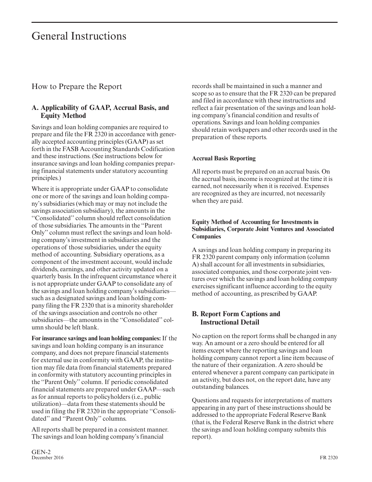## General Instructions

### How to Prepare the Report

#### **A. Applicability of GAAP, Accrual Basis, and Equity Method**

Savings and loan holding companies are required to prepare and file the FR 2320 in accordance with gener ally accepted accounting principles (GAAP) as set forth in the FASB Accounting Standards Codification and these instructions. (See instructions below for insurance savings and loan holding companies preparing financial statements under statutory accounting principles.)

Where it is appropriate under GAAP to consolidate one or more of the savings and loan holding company's subsidiaries (which may or may not include the savings association subsidiary), the amounts in the ''Consolidated'' column should reflect consolidation of those subsidiaries. The amounts in the ''Parent Only'' column must reflect the savings and loan holding company's investment in subsidiaries and the operations of those subsidiaries, under the equity method of accounting. Subsidiary operations, as a component of the investment account, would include dividends, earnings, and other activity updated on a quarterly basis. In the infrequent circumstance where it is not appropriate under GAAP to consolidate any of the savings and loan holding company's subsidiaries such as a designated savings and loan holding company filing the FR 2320 that is a minority shareholder of the savings association and controls no other subsidiaries—the amounts in the ''Consolidated'' column should be left blank.

**For insurance savings and loan holding companies:** If the savings and loan holding company is an insurance company, and does not prepare financial statements for external use in conformity with GAAP, the institution may file data from financial statements prepared in conformity with statutory accounting principles in the ''Parent Only'' column. If periodic consolidated financial statements are prepared under GAAP—such as for annual reports to policyholders (i.e., public utilization)—data from these statements should be used in filing the FR 2320 in the appropriate ''Consolidated'' and ''Parent Only'' columns.

All reports shall be prepared in a consistent manner. The savings and loan holding company's financial

records shall be maintained in such a manner and scope so as to ensure that the FR 2320 can be prepared and filed in accordance with these instructions and reflect a fair presentation of the savings and loan holding company's financial condition and results of operations. Savings and loan holding companies should retain workpapers and other records used in the preparation of these reports.

#### **Accrual Basis Reporting**

All reports must be prepared on an accrual basis. On the accrual basis, income is recognized at the time it is earned, not necessarily when it is received. Expenses are recognized as they are incurred, not necessarily when they are paid.

#### **Equity Method of Accounting for Investments in Subsidiaries, Corporate Joint Ventures and Associated Companies**

A savings and loan holding company in preparing its FR 2320 parent company only information (column A) shall account for all investments in subsidiaries, associated companies, and those corporate joint ventures over which the savings and loan holding company exercises significant influence according to the equity method of accounting, as prescribed by GAAP.

### **B. Report Form Captions and Instructional Detail**

No caption on the report forms shall be changed in any way. An amount or a zero should be entered for all items except where the reporting savings and loan holding company cannot report a line item because of the nature of their organization. A zero should be entered whenever a parent company can participate in an activity, but does not, on the report date, have any outstanding balances.

Questions and requests for interpretations of matters appearing in any part of these instructions should be addressed to the appropriate Federal Reserve Bank (that is, the Federal Reserve Bank in the district where the savings and loan holding company submits this report).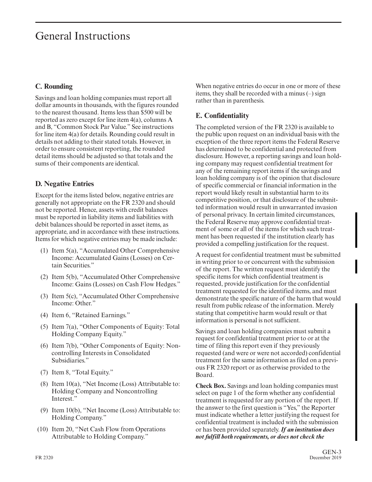## General Instructions

#### **C. Rounding**

Savings and loan holding companies must report all dollar amounts in thousands, with the figures rounded to the nearest thousand. Items less than \$500 will be reported as zero except for line item 4(a), columns A and B, "Common Stock Par Value." See instructions for line item 4(a) for details. Rounding could result in details not adding to their stated totals. However, in order to ensure consistent reporting, the rounded detail items should be adjusted so that totals and the sums of their components are identical.

### **D. Negative Entries**

Except for the items listed below, negative entries are generally not appropriate on the FR 2320 and should not be reported. Hence, assets with credit balances must be reported in liability items and liabilities with debit balances should be reported in asset items, as appropriate, and in accordance with these instructions. Items for which negative entries may be made include:

- (1) Item 5(a), "Accumulated Other Comprehensive Income: Accumulated Gains (Losses) on Certain Securities."
- (2) Item 5(b), "Accumulated Other Comprehensive Income: Gains (Losses) on Cash Flow Hedges."
- (3) Item 5(c), "Accumulated Other Comprehensive Income: Other."
- (4) Item 6, "Retained Earnings."
- (5) Item 7(a), "Other Components of Equity: Total Holding Company Equity."
- (6) Item 7(b), "Other Components of Equity: Noncontrolling Interests in Consolidated Subsidiaries."
- (7) Item 8, "Total Equity."
- (8) Item 10(a), "Net Income (Loss) Attributable to: Holding Company and Noncontrolling Interest."
- (9) Item 10(b), "Net Income (Loss) Attributable to: Holding Company."
- (10) Item 20, "Net Cash Flow from Operations Attributable to Holding Company."

When negative entries do occur in one or more of these items, they shall be recorded with a minus (–) sign rather than in parenthesis.

### **E. Confidentiality**

The completed version of the FR 2320 is available to the public upon request on an individual basis with the exception of the three report items the Federal Reserve has determined to be confidential and protected from disclosure. However, a reporting savings and loan holding company may request confidential treatment for any of the remaining report items if the savings and loan holding company is of the opinion that disclosure of specific commercial or financial information in the report would likely result in substantial harm to its competitive position, or that disclosure of the submitted information would result in unwarranted invasion of personal privacy. In certain limited circumstances, the Federal Reserve may approve confidential treatment of some or all of the items for which such treatment has been requested if the institution clearly has provided a compelling justification for the request.

A request for confidential treatment must be submitted in writing prior to or concurrent with the submission of the report. The written request must identify the specific items for which confidential treatment is requested, provide justification for the confidential treatment requested for the identified items, and must demonstrate the specific nature of the harm that would result from public release of the information. Merely stating that competitive harm would result or that information is personal is not sufficient.

Savings and loan holding companies must submit a request for confidential treatment prior to or at the time of filing this report even if they previously requested (and were or were not accorded) confidential treatment for the same information as filed on a previous FR 2320 report or as otherwise provided to the Board.

**Check Box.** Savings and loan holding companies must select on page 1 of the form whether any confidential treatment is requested for any portion of the report. If the answer to the first question is "Yes," the Reporter must indicate whether a letter justifying the request for confidential treatment is included with the submission or has been provided separately. *If an institution does not fulfill both requirements, or does not check the*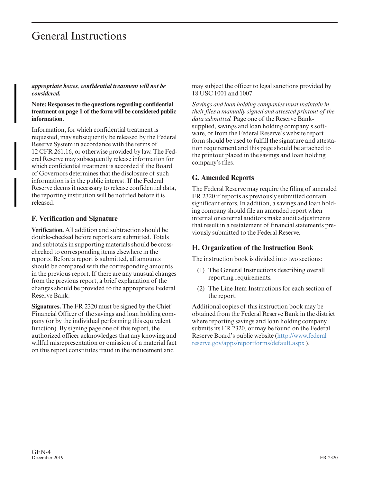## General Instructions

*appropriate boxes, confidential treatment will not be considered.*

**Note: Responses to the questions regarding confidential treatment on page 1 of the form will be considered public information.**

Information, for which confidential treatment is requested, may subsequently be released by the Federal Reserve System in accordance with the terms of 12 CFR 261.16, or otherwise provided by law. The Federal Reserve may subsequently release information for which confidential treatment is accorded if the Board of Governors determines that the disclosure of such information is in the public interest. If the Federal Reserve deems it necessary to release confidential data, the reporting institution will be notified before it is released.

#### **F. Verification and Signature**

**Verification.** All addition and subtraction should be double-checked before reports are submitted. Totals and subtotals in supporting materials should be crosschecked to corresponding items elsewhere in the reports. Before a report is submitted, all amounts should be compared with the corresponding amounts in the previous report. If there are any unusual changes from the previous report, a brief explanation of the changes should be provided to the appropriate Federal Reserve Bank.

**Signatures.** The FR 2320 must be signed by the Chief Financial Officer of the savings and loan holding company (or by the individual performing this equivalent function). By signing page one of this report, the authorized officer acknowledges that any knowing and willful misrepresentation or omission of a material fact on this report constitutes fraud in the inducement and

may subject the officer to legal sanctions provided by 18 USC 1001 and 1007.

*Savings and loan holding companies must maintain in their files a manually signed and attested printout of the data submitted.* Page one of the Reserve Banksupplied, savings and loan holding company's software, or from the Federal Reserve's website report form should be used to fulfill the signature and attestation requirement and this page should be attached to the printout placed in the savings and loan holding company's files.

### **G. Amended Reports**

The Federal Reserve may require the filing of amended FR 2320 if reports as previously submitted contain significant errors. In addition, a savings and loan holding company should file an amended report when internal or external auditors make audit adjustments that result in a restatement of financial statements previously submitted to the Federal Reserve.

#### **H. Organization of the Instruction Book**

The instruction book is divided into two sections:

- (1) The General Instructions describing overall reporting requirements.
- (2) The Line Item Instructions for each section of the report.

Additional copies of this instruction book may be obtained from the Federal Reserve Bank in the district where reporting savings and loan holding company submits its FR 2320, or may be found on the Federal Reserve Board's public website [\(http://www.federal](http://www.federalreserve.gov/apps/reportforms/default.aspx) [reserve.gov/apps/reportforms/default.aspx \)](http://www.federalreserve.gov/apps/reportforms/default.aspx).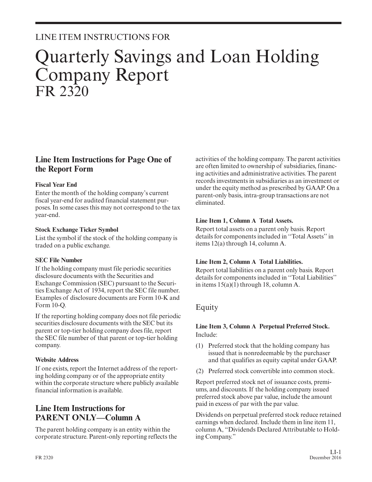## LINE ITEM INSTRUCTIONS FOR

# Quarterly Savings and Loan Holding Company Report FR 2320

## **Line Item Instructions for Page One of the Report Form**

#### **Fiscal Year End**

Enter the month of the holding company's current fiscal year-end for audited financial statement pur poses. In some cases this may not correspond to the tax year-end.

#### **Stock Exchange Ticker Symbol**

List the symbol if the stock of the holding company is traded on a public exchange.

#### **SEC File Number**

If the holding company must file periodic securities disclosure documents with the Securities and Exchange Commission (SEC) pursuant to the Securities Exchange Act of 1934, report the SEC file number. Examples of disclosure documents are Form 10-K and Form 10-Q.

If the reporting holding company does not file periodic securities disclosure documents with the SEC but its parent or top-tier holding company does file, report the SEC file number of that parent or top-tier holding company.

#### **Website Address**

If one exists, report the Internet address of the reporting holding company or of the appropriate entity within the corporate structure where publicly available financial information is available.

## **Line Item Instructions for PARENT ONLY—Column A**

The parent holding company is an entity within the corporate structure. Parent-only reporting reflects the activities of the holding company. The parent activities are often limited to ownership of subsidiaries, financing activities and administrative activities. The parent records investments in subsidiaries as an investment or under the equity method as prescribed by GAAP. On a parent-only basis, intra-group transactions are not eliminated.

#### **Line Item 1, Column A Total Assets.**

Report total assets on a parent only basis. Report details for components included in ''Total Assets'' in items 12(a) through 14, column A.

#### **Line Item 2, Column A Total Liabilities.**

Report total liabilities on a parent only basis. Report details for components included in ''Total Liabilities'' in items 15(a)(1) through 18, column A.

## Equity

#### **Line Item 3, Column A Perpetual Preferred Stock.** Include:

- (1) Preferred stock that the holding company has issued that is nonredeemable by the purchaser and that qualifies as equity capital under GAAP.
- (2) Preferred stock convertible into common stock.

Report preferred stock net of issuance costs, premiums, and discounts. If the holding company issued preferred stock above par value, include the amount paid in excess of par with the par value.

Dividends on perpetual preferred stock reduce retained earnings when declared. Include them in line item 11, column A, "Dividends Declared Attributable to Holding Company."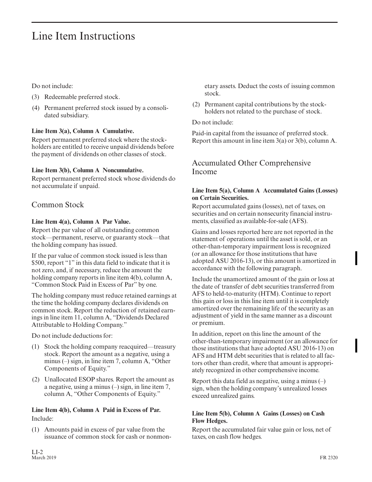Do not include:

- (3) Redeemable preferred stock.
- (4) Permanent preferred stock issued by a consolidated subsidiary.

#### **Line Item 3(a), Column A Cumulative.**

Report permanent preferred stock where the stockholders are entitled to receive unpaid dividends before the payment of dividends on other classes of stock.

#### **Line Item 3(b), Column A Noncumulative.**

Report permanent preferred stock whose dividends do not accumulate if unpaid.

## Common Stock

#### **Line Item 4(a), Column A Par Value.**

Report the par value of all outstanding common stock—permanent, reserve, or guaranty stock—that the holding company has issued.

If the par value of common stock issued is less than \$500, report "1" in this data field to indicate that it is not zero, and, if necessary, reduce the amount the holding company reports in line item 4(b), column A, "Common Stock Paid in Excess of Par" by one.

The holding company must reduce retained earnings at the time the holding company declares dividends on common stock. Report the reduction of retained earnings in line item 11, column A, "Dividends Declared Attributable to Holding Company."

Do not include deductions for:

- (1) Stock the holding company reacquired—treasury stock. Report the amount as a negative, using a minus (–) sign, in line item 7, column A, "Other Components of Equity."
- (2) Unallocated ESOP shares. Report the amount as a negative, using a minus  $(-)$  sign, in line item 7, column A, "Other Components of Equity."

#### **Line Item 4(b), Column A Paid in Excess of Par.** Include:

(1) Amounts paid in excess of par value from the issuance of common stock for cash or nonmonetary assets. Deduct the costs of issuing common stock.

(2) Permanent capital contributions by the stockholders not related to the purchase of stock.

#### Do not include:

Paid-in capital from the issuance of preferred stock. Report this amount in line item 3(a) or 3(b), column A.

## Accumulated Other Comprehensive Income

#### **Line Item 5(a), Column A Accumulated Gains (Losses) on Certain Securities.**

Report accumulated gains (losses), net of taxes, on securities and on certain nonsecurity financial instruments, classified as available-for-sale (AFS).

Gains and losses reported here are not reported in the statement of operations until the asset is sold, or an other-than-temporary impairment loss is recognized (or an allowance for those institutions that have adopted ASU 2016-13), or this amount is amortized in accordance with the following paragraph.

Include the unamortized amount of the gain or loss at the date of transfer of debt securities transferred from AFS to held-to-maturity (HTM). Continue to report this gain or loss in this line item until it is completely amortized over the remaining life of the security as an adjustment of yield in the same manner as a discount or premium.

In addition, report on this line the amount of the other-than-temporary impairment (or an allowance for those institutions that have adopted ASU 2016-13) on AFS and HTM debt securities that is related to all factors other than credit, where that amount is appropriately recognized in other comprehensive income.

Report this data field as negative, using a minus  $(-)$ sign, when the holding company's unrealized losses exceed unrealized gains.

#### **Line Item 5(b), Column A Gains (Losses) on Cash Flow Hedges.**

Report the accumulated fair value gain or loss, net of taxes, on cash flow hedges.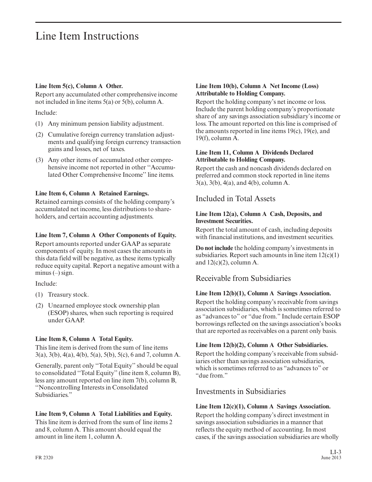#### **Line Item 5(c), Column A Other.**

Report any accumulated other comprehensive income not included in line items 5(a) or 5(b), column A.

Include:

- (1) Any minimum pension liability adjustment.
- (2) Cumulative foreign currency translation adjustments and qualifying foreign currency transaction gains and losses, net of taxes.
- (3) Any other items of accumulated other comprehensive income not reported in other ''Accumulated Other Comprehensive Income'' line items.

#### **Line Item 6, Column A Retained Earnings.**

Retained earnings consists of the holding company's accumulated net income, less distributions to shareholders, and certain accounting adjustments.

#### **Line Item 7, Column A Other Components of Equity.**

Report amounts reported under GAAP as separate components of equity. In most cases the amounts in this data field will be negative, as these items typically reduce equity capital. Report a negative amount with a minus  $(-)$  sign.

Include:

- (1) Treasury stock.
- (2) Unearned employee stock ownership plan (ESOP) shares, when such reporting is required under GAAP.

#### **Line Item 8, Column A Total Equity.**

This line item is derived from the sum of line items 3(a), 3(b), 4(a), 4(b), 5(a), 5(b), 5(c), 6 and 7, column A.

Generally, parent only ''Total Equity'' should be equal to consolidated ''Total Equity'' (line item 8, column B), less any amount reported on line item 7(b), column B, ''Noncontrolling Interests in Consolidated Subsidiaries."

#### **Line Item 9, Column A Total Liabilities and Equity.**

This line item is derived from the sum of line items 2 and 8, column A. This amount should equal the amount in line item 1, column A.

#### **Line Item 10(b), Column A Net Income (Loss) Attributable to Holding Company.**

Report the holding company's net income or loss. Include the parent holding company's proportionate share of any savings association subsidiary's income or loss. The amount reported on this line is comprised of the amounts reported in line items 19(c), 19(e), and 19(f), column A.

#### **Line Item 11, Column A Dividends Declared Attributable to Holding Company.**

Report the cash and noncash dividends declared on preferred and common stock reported in line items 3(a), 3(b), 4(a), and 4(b), column A.

Included in Total Assets

#### **Line Item 12(a), Column A Cash, Deposits, and Investment Securities.**

Report the total amount of cash, including deposits with financial institutions, and investment securities.

**Do not include** the holding company's investments in subsidiaries. Report such amounts in line item  $12(c)(1)$ and  $12(c)(2)$ , column A.

## Receivable from Subsidiaries

#### **Line Item 12(b)(1), Column A Savings Association.**

Report the holding company's receivable from savings association subsidiaries, which is sometimes referred to as "advances to" or "due from." Include certain ESOP borrowings reflected on the savings association's books that are reported as receivables on a parent only basis.

#### **Line Item 12(b)(2), Column A Other Subsidiaries.**

Report the holding company's receivable from subsidiaries other than savings association subsidiaries, which is sometimes referred to as "advances to" or "due from."

## Investments in Subsidiaries

#### **Line Item 12(c)(1), Column A Savings Association.**

Report the holding company's direct investment in savings association subsidiaries in a manner that reflects the equity method of accounting. In most cases, if the savings association subsidiaries are wholly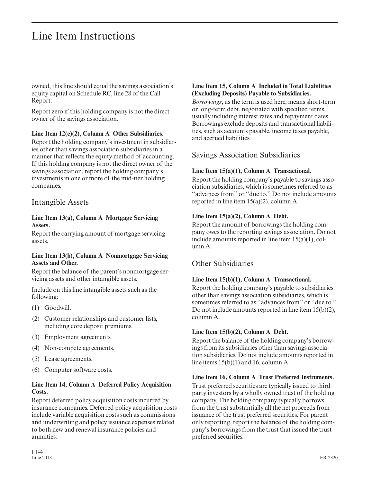owned, this line should equal the savings association's equity capital on Schedule RC, line 28 of the Call Report.

Report zero if this holding company is not the direct owner of the savings association.

#### **Line Item 12(c)(2), Column A Other Subsidiaries.**

Report the holding company's investment in subsidiaries other than savings association subsidiaries in a manner that reflects the equity method of accounting. If this holding company is not the direct owner of the savings association, report the holding company's investments in one or more of the mid-tier holding companies.

### Intangible Assets

#### **Line Item 13(a), Column A Mortgage Servicing Assets.**

Report the carrying amount of mortgage servicing assets.

#### **Line Item 13(b), Column A Nonmortgage Servicing Assets and Other.**

Report the balance of the parent's nonmortgage ser vicing assets and other intangible assets.

Include on this line intangible assets such as the following:

- (1) Goodwill.
- (2) Customer relationships and customer lists, including core deposit premiums.
- (3) Employment agreements.
- (4) Non-compete agreements.
- (5) Lease agreements.
- (6) Computer software costs.

#### **Line Item 14, Column A Deferred Policy Acquisition Costs.**

Report deferred policy acquisition costs incurred by insurance companies. Deferred policy acquisition costs include variable acquisition costs such as commissions and underwriting and policy issuance expenses related to both new and renewal insurance policies and annuities.

#### **Line Item 15, Column A Included in Total Liabilities (Excluding Deposits) Payable to Subsidiaries.**

*Borrowings*, as the term is used here, means short-term or long-term debt, negotiated with specified terms, usually including interest rates and repayment dates. Borrowings exclude deposits and transactional liabilities, such as accounts payable, income taxes payable, and accrued liabilities.

### Savings Association Subsidiaries

#### **Line Item 15(a)(1), Column A Transactional.**

Report the holding company's payable to savings association subsidiaries, which is sometimes referred to as ''advances from'' or ''due to.'' Do not include amounts reported in line item 15(a)(2), column A.

#### **Line Item 15(a)(2), Column A Debt.**

Report the amount of borrowings the holding company owes to the reporting savings association. Do not include amounts reported in line item 15(a)(1), column A.

## Other Subsidiaries

#### **Line Item 15(b)(1), Column A Transactional.**

Report the holding company's payable to subsidiaries other than savings association subsidiaries, which is sometimes referred to as ''advances from'' or ''due to.'' Do not include amounts reported in line item 15(b)(2), column A.

#### **Line Item 15(b)(2), Column A Debt.**

Report the balance of the holding company's borrowings from its subsidiaries other than savings association subsidiaries. Do not include amounts reported in line items 15(b)(1) and 16, column A.

#### **Line Item 16, Column A Trust Preferred Instruments.**

Trust preferred securities are typically issued to third party investors by a wholly owned trust of the holding company. The holding company typically borrows from the trust substantially all the net proceeds from issuance of the trust preferred securities. For parent only reporting, report the balance of the holding company's borrowings from the trust that issued the trust preferred securities.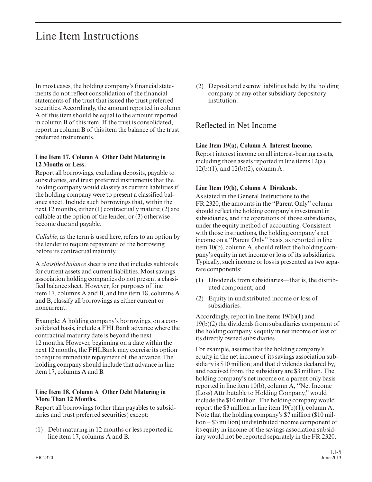In most cases, the holding company's financial statements do not reflect consolidation of the financial statements of the trust that issued the trust preferred securities. Accordingly, the amount reported in column A of this item should be equal to the amount reported in column B of this item. If the trust is consolidated, report in column B of this item the balance of the trust preferred instruments.

#### **Line Item 17, Column A Other Debt Maturing in 12 Months or Less.**

Report all borrowings, excluding deposits, payable to subsidiaries, and trust preferred instruments that the holding company would classify as current liabilities if the holding company were to present a classified balance sheet. Include such borrowings that, within the next 12 months, either (1) contractually mature; (2) are callable at the option of the lender; or (3) otherwise become due and payable.

*Callable*, as the term is used here, refers to an option by the lender to require repayment of the borrowing before its contractual maturity.

A *classified balance* sheet is one that includes subtotals for current assets and current liabilities. Most savings association holding companies do not present a classified balance sheet. However, for purposes of line item 17, columns A and B, and line item 18, columns A and B, classify all borrowings as either current or noncurrent.

Example: A holding company's borrowings, on a consolidated basis, include a FHLBank advance where the contractual maturity date is beyond the next 12 months. However, beginning on a date within the next 12 months, the FHLBank may exercise its option to require immediate repayment of the advance. The holding company should include that advance in line item 17, columns A and B.

#### **Line Item 18, Column A Other Debt Maturing in More Than 12 Months.**

Report all borrowings (other than payables to subsidiaries and trust preferred securities) except:

(1) Debt maturing in 12 months or less reported in line item 17, columns A and B.

(2) Deposit and escrow liabilities held by the holding company or any other subsidiary depository institution.

## Reflected in Net Income

#### **Line Item 19(a), Column A Interest Income.**

Report interest income on all interest-bearing assets, including those assets reported in line items 12(a), 12(b)(1), and 12(b)(2), column A.

#### **Line Item 19(b), Column A Dividends.**

As stated in the General Instructions to the FR 2320, the amounts in the ''Parent Only'' column should reflect the holding company's investment in subsidiaries, and the operations of those subsidiaries, under the equity method of accounting. Consistent with those instructions, the holding company's net income on a ''Parent Only'' basis, as reported in line item 10(b), column A, should reflect the holding company's equity in net income or loss of its subsidiaries. Typically, such income or loss is presented as two separate components:

- (1) Dividends from subsidiaries—that is, the distributed component, and
- (2) Equity in undistributed income or loss of subsidiaries.

Accordingly, report in line items 19(b)(1) and 19(b)(2) the dividends from subsidiaries component of the holding company's equity in net income or loss of its directly owned subsidiaries.

For example, assume that the holding company's equity in the net income of its savings association subsidiary is \$10 million; and that dividends declared by, and received from, the subsidiary are \$3 million. The holding company's net income on a parent only basis reported in line item 10(b), column A, ''Net Income (Loss) Attributable to Holding Company,'' would include the \$10 million. The holding company would report the \$3 million in line item 19(b)(1), column A. Note that the holding company's \$7 million (\$10 million – \$3 million) undistributed income component of its equity in income of the savings association subsidiary would not be reported separately in the FR 2320.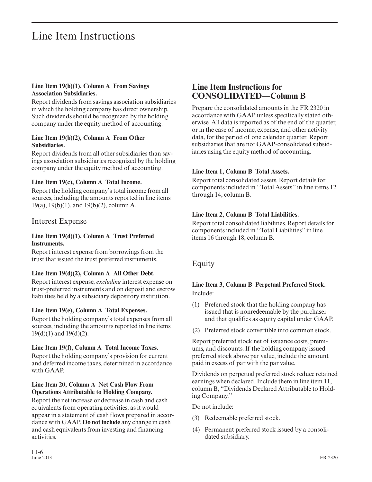#### **Line Item 19(b)(1), Column A From Savings Association Subsidiaries.**

Report dividends from savings association subsidiaries in which the holding company has direct ownership. Such dividends should be recognized by the holding company under the equity method of accounting.

#### **Line Item 19(b)(2), Column A From Other Subsidiaries.**

Report dividends from all other subsidiaries than savings association subsidiaries recognized by the holding company under the equity method of accounting.

#### **Line Item 19(c), Column A Total Income.**

Report the holding company's total income from all sources, including the amounts reported in line items 19(a), 19(b)(1), and 19(b)(2), column A.

#### Interest Expense

#### **Line Item 19(d)(1), Column A Trust Preferred Instruments.**

Report interest expense from borrowings from the trust that issued the trust preferred instruments.

#### **Line Item 19(d)(2), Column A All Other Debt.**

Report interest expense, *excluding* interest expense on trust-preferred instruments and on deposit and escrow liabilities held by a subsidiary depository institution.

#### **Line Item 19(e), Column A Total Expenses.**

Report the holding company's total expenses from all sources, including the amounts reported in line items 19(d)(1) and 19(d)(2).

#### **Line Item 19(f), Column A Total Income Taxes.**

Report the holding company's provision for current and deferred income taxes, determined in accordance with GAAP

#### **Line Item 20, Column A Net Cash Flow From Operations Attributable to Holding Company.**

Report the net increase or decrease in cash and cash equivalents from operating activities, as it would appear in a statement of cash flows prepared in accor dance with GAAP. **Do not include** any change in cash and cash equivalents from investing and financing activities.

## **Line Item Instructions for CONSOLIDATED—Column B**

Prepare the consolidated amounts in the FR 2320 in accordance with GAAP unless specifically stated otherwise. All data is reported as of the end of the quarter, or in the case of income, expense, and other activity data, for the period of one calendar quarter. Report subsidiaries that are not GAAP-consolidated subsidiaries using the equity method of accounting.

#### **Line Item 1, Column B Total Assets.**

Report total consolidated assets. Report details for components included in ''Total Assets'' in line items 12 through 14, column B.

#### **Line Item 2, Column B Total Liabilities.**

Report total consolidated liabilities. Report details for components included in ''Total Liabilities'' in line items 16 through 18, column B.

#### Equity

#### **Line Item 3, Column B Perpetual Preferred Stock.** Include:

- (1) Preferred stock that the holding company has issued that is nonredeemable by the purchaser and that qualifies as equity capital under GAAP.
- (2) Preferred stock convertible into common stock.

Report preferred stock net of issuance costs, premiums, and discounts. If the holding company issued preferred stock above par value, include the amount paid in excess of par with the par value.

Dividends on perpetual preferred stock reduce retained earnings when declared. Include them in line item 11, column B, ''Dividends Declared Attributable to Holding Company."

Do not include:

- (3) Redeemable preferred stock.
- (4) Permanent preferred stock issued by a consolidated subsidiary.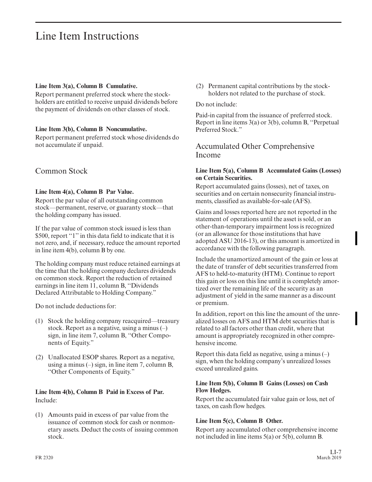#### **Line Item 3(a), Column B Cumulative.**

Report permanent preferred stock where the stockholders are entitled to receive unpaid dividends before the payment of dividends on other classes of stock.

#### **Line Item 3(b), Column B Noncumulative.**

Report permanent preferred stock whose dividends do not accumulate if unpaid.

### Common Stock

#### **Line Item 4(a), Column B Par Value.**

Report the par value of all outstanding common stock—permanent, reserve, or guaranty stock—that the holding company has issued.

If the par value of common stock issued is less than \$500, report "1" in this data field to indicate that it is not zero, and, if necessary, reduce the amount reported in line item 4(b), column B by one.

The holding company must reduce retained earnings at the time that the holding company declares dividends on common stock. Report the reduction of retained earnings in line item 11, column B, ''Dividends Declared Attributable to Holding Company."

Do not include deductions for:

- (1) Stock the holding company reacquired—treasury stock. Report as a negative, using a minus (–) sign, in line item 7, column B, ''Other Components of Equity."
- (2) Unallocated ESOP shares. Report as a negative, using a minus (–) sign, in line item 7, column B, ''Other Components of Equity."

#### **Line Item 4(b), Column B Paid in Excess of Par.** Include:

(1) Amounts paid in excess of par value from the issuance of common stock for cash or nonmonetary assets. Deduct the costs of issuing common stock.

(2) Permanent capital contributions by the stockholders not related to the purchase of stock.

#### Do not include:

Paid-in capital from the issuance of preferred stock. Report in line items 3(a) or 3(b), column B, ''Perpetual Preferred Stock<sup>"</sup>

Accumulated Other Comprehensive Income

#### **Line Item 5(a), Column B Accumulated Gains (Losses) on Certain Securities.**

Report accumulated gains (losses), net of taxes, on securities and on certain nonsecurity financial instruments, classified as available-for-sale (AFS).

Gains and losses reported here are not reported in the statement of operations until the asset is sold, or an other-than-temporary impairment loss is recognized (or an allowance for those institutions that have adopted ASU 2016-13), or this amount is amortized in accordance with the following paragraph.

Include the unamortized amount of the gain or loss at the date of transfer of debt securities transferred from AFS to held-to-maturity (HTM). Continue to report this gain or loss on this line until it is completely amortized over the remaining life of the security as an adjustment of yield in the same manner as a discount or premium.

In addition, report on this line the amount of the unrealized losses on AFS and HTM debt securities that is related to all factors other than credit, where that amount is appropriately recognized in other comprehensive income.

Report this data field as negative, using a minus  $(-)$ sign, when the holding company's unrealized losses exceed unrealized gains.

#### **Line Item 5(b), Column B Gains (Losses) on Cash Flow Hedges.**

Report the accumulated fair value gain or loss, net of taxes, on cash flow hedges.

#### **Line Item 5(c), Column B Other.**

Report any accumulated other comprehensive income not included in line items 5(a) or 5(b), column B.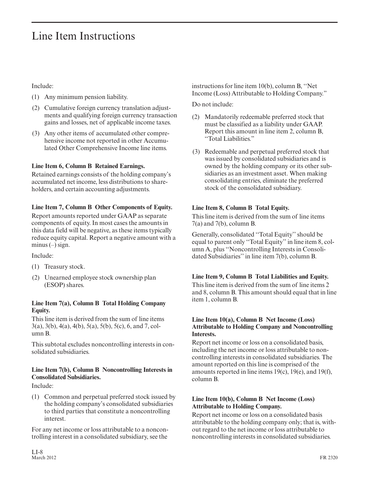Include:

- (1) Any minimum pension liability.
- (2) Cumulative foreign currency translation adjustments and qualifying foreign currency transaction gains and losses, net of applicable income taxes.
- (3) Any other items of accumulated other comprehensive income not reported in other Accumulated Other Comprehensive Income line items.

#### **Line Item 6, Column B Retained Earnings.**

Retained earnings consists of the holding company's accumulated net income, less distributions to shareholders, and certain accounting adjustments.

#### **Line Item 7, Column B Other Components of Equity.**

Report amounts reported under GAAP as separate components of equity. In most cases the amounts in this data field will be negative, as these items typically reduce equity capital. Report a negative amount with a minus  $(-)$  sign.

Include:

- (1) Treasury stock.
- (2) Unearned employee stock ownership plan (ESOP) shares.

#### **Line Item 7(a), Column B Total Holding Company Equity.**

This line item is derived from the sum of line items 3(a), 3(b), 4(a), 4(b), 5(a), 5(b), 5(c), 6, and 7, column B.

This subtotal excludes noncontrolling interests in consolidated subsidiaries.

#### **Line Item 7(b), Column B Noncontrolling Interests in Consolidated Subsidiaries.**

Include:

(1) Common and perpetual preferred stock issued by the holding company's consolidated subsidiaries to third parties that constitute a noncontrolling interest.

For any net income or loss attributable to a noncontrolling interest in a consolidated subsidiary, see the

instructions for line item 10(b), column B, ''Net Income (Loss) Attributable to Holding Company."

Do not include:

- (2) Mandatorily redeemable preferred stock that must be classified as a liability under GAAP. Report this amount in line item 2, column B, ''Total Liabilities."
- (3) Redeemable and perpetual preferred stock that was issued by consolidated subsidiaries and is owned by the holding company or its other subsidiaries as an investment asset. When making consolidating entries, eliminate the preferred stock of the consolidated subsidiary.

#### **Line Item 8, Column B Total Equity.**

This line item is derived from the sum of line items 7(a) and 7(b), column B.

Generally, consolidated ''Total Equity'' should be equal to parent only ''Total Equity'' in line item 8, column A, plus ''Noncontrolling Interests in Consolidated Subsidiaries'' in line item 7(b), column B.

#### **Line Item 9, Column B Total Liabilities and Equity.**

This line item is derived from the sum of line items 2 and 8, column B. This amount should equal that in line item 1, column B.

#### **Line Item 10(a), Column B Net Income (Loss) Attributable to Holding Company and Noncontrolling Interests.**

Report net income or loss on a consolidated basis, including the net income or loss attributable to noncontrolling interests in consolidated subsidiaries. The amount reported on this line is comprised of the amounts reported in line items 19(c), 19(e), and 19(f), column B.

#### **Line Item 10(b), Column B Net Income (Loss) Attributable to Holding Company.**

Report net income or loss on a consolidated basis attributable to the holding company only; that is, without regard to the net income or loss attributable to noncontrolling interests in consolidated subsidiaries.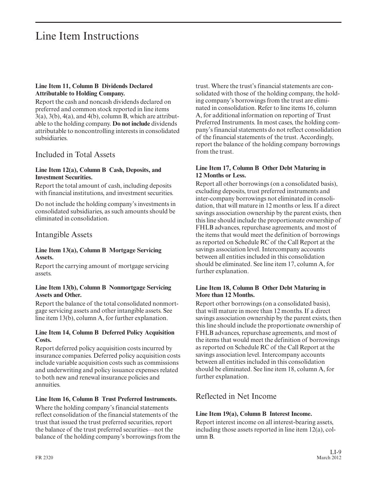#### **Line Item 11, Column B Dividends Declared Attributable to Holding Company.**

Report the cash and noncash dividends declared on preferred and common stock reported in line items  $3(a)$ ,  $3(b)$ ,  $4(a)$ , and  $4(b)$ , column B, which are attributable to the holding company. **Do not include** dividends attributable to noncontrolling interests in consolidated subsidiaries.

### Included in Total Assets

#### **Line Item 12(a), Column B Cash, Deposits, and Investment Securities.**

Report the total amount of cash, including deposits with financial institutions, and investment securities.

Do not include the holding company's investments in consolidated subsidiaries, as such amounts should be eliminated in consolidation.

#### Intangible Assets

#### **Line Item 13(a), Column B Mortgage Servicing Assets.**

Report the carrying amount of mortgage servicing assets.

#### **Line Item 13(b), Column B Nonmortgage Servicing Assets and Other.**

Report the balance of the total consolidated nonmortgage servicing assets and other intangible assets. See line item 13(b), column A, for further explanation.

#### **Line Item 14, Column B Deferred Policy Acquisition Costs.**

Report deferred policy acquisition costs incurred by insurance companies. Deferred policy acquisition costs include variable acquisition costs such as commissions and underwriting and policy issuance expenses related to both new and renewal insurance policies and annuities.

#### **Line Item 16, Column B Trust Preferred Instruments.**

Where the holding company's financial statements reflect consolidation of the financial statements of the trust that issued the trust preferred securities, report the balance of the trust preferred securities—not the balance of the holding company's borrowings from the trust. Where the trust's financial statements are consolidated with those of the holding company, the holding company's borrowings from the trust are eliminated in consolidation. Refer to line items 16, column A, for additional information on reporting of Trust Preferred Instruments. In most cases, the holding company's financial statements do not reflect consolidation of the financial statements of the trust. Accordingly, report the balance of the holding company borrowings from the trust.

#### **Line Item 17, Column B Other Debt Maturing in 12 Months or Less.**

Report all other borrowings (on a consolidated basis), excluding deposits, trust preferred instruments and inter-company borrowings not eliminated in consolidation, that will mature in 12 months or less. If a direct savings association ownership by the parent exists, then this line should include the proportionate ownership of FHLB advances, repurchase agreements, and most of the items that would meet the definition of borrowings as reported on Schedule RC of the Call Report at the savings association level. Intercompany accounts between all entities included in this consolidation should be eliminated. See line item 17, column A, for further explanation.

#### **Line Item 18, Column B Other Debt Maturing in More than 12 Months.**

Report other borrowings (on a consolidated basis), that will mature in more than 12 months. If a direct savings association ownership by the parent exists, then this line should include the proportionate ownership of FHLB advances, repurchase agreements, and most of the items that would meet the definition of borrowings as reported on Schedule RC of the Call Report at the savings association level. Intercompany accounts between all entities included in this consolidation should be eliminated. See line item 18, column A, for further explanation.

### Reflected in Net Income

#### **Line Item 19(a), Column B Interest Income.**

Report interest income on all interest-bearing assets, including those assets reported in line item 12(a), column B.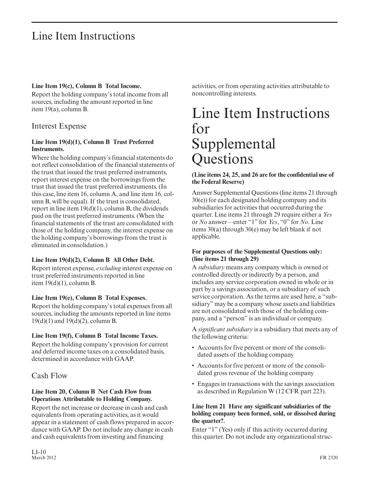#### **Line Item 19(c), Column B Total Income.**

Report the holding company's total income from all sources, including the amount reported in line item 19(a), column B.

## Interest Expense

#### **Line Item 19(d)(1), Column B Trust Preferred Instruments.**

Where the holding company's financial statements do not reflect consolidation of the financial statements of the trust that issued the trust preferred instruments, report interest expense on the borrowings from the trust that issued the trust preferred instruments. (In this case, line item 16, column A, and line item 16, column B, will be equal). If the trust is consolidated, report in line item  $19(d)(1)$ , column B, the dividends paid on the trust preferred instruments. (When the financial statements of the trust are consolidated with those of the holding company, the interest expense on the holding company's borrowings from the trust is eliminated in consolidation.)

#### **Line Item 19(d)(2), Column B All Other Debt.**

Report interest expense, *excluding* interest expense on trust preferred instruments reported in line item  $19(d)(1)$ , column B.

#### **Line Item 19(e), Column B Total Expenses.**

Report the holding company's total expenses from all sources, including the amounts reported in line items 19(d)(1) and 19(d)(2), column B.

#### **Line Item 19(f), Column B Total Income Taxes.**

Report the holding company's provision for current and deferred income taxes on a consolidated basis, determined in accordance with GAAP.

## Cash Flow

#### **Line Item 20, Column B Net Cash Flow from Operations Attributable to Holding Company.**

Report the net increase or decrease in cash and cash equivalents from operating activities, as it would appear in a statement of cash flows prepared in accor dance with GAAP. Do not include any change in cash and cash equivalents from investing and financing

activities, or from operating activities attributable to noncontrolling interests.

# Line Item Instructions for Supplemental **Questions**

#### **(Line items 24, 25, and 26 are for the confidential use of the Federal Reserve)**

Answer Supplemental Questions (line items 21 through 30(e)) for each designated holding company and its subsidiaries for activities that occurred during the quarter. Line items 21 through 29 require either a *Yes* or *No* answer—enter "1" for *Yes*, "0" for *No*. Line items 30(a) through 30(e) may be left blank if not applicable.

#### **For purposes of the Supplemental Questions only: (line items 21 through 29)**

A *subsidiary* means any company which is owned or controlled directly or indirectly by a person, and includes any service corporation owned in whole or in part by a savings association, or a subsidiary of such service corporation. As the terms are used here, a "subsidiary" may be a company whose assets and liabilities are not consolidated with those of the holding company, and a "person" is an individual or company.

A *significant subsidiary* is a subsidiary that meets any of the following criteria:

- Accounts for five percent or more of the consolidated assets of the holding company
- Accounts for five percent or more of the consolidated gross revenue of the holding company
- Engages in transactions with the savings association as described in Regulation W (12 CFR part 223).

#### **Line Item 21 Have any significant subsidiaries of the holding company been formed, sold, or dissolved during the quarter?.**

Enter "1" (Yes) only if this activity occurred during this quarter. Do not include any organizational struc-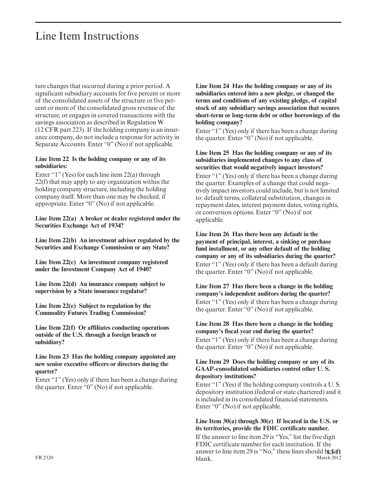ture changes that occurred during a prior period. A significant subsidiary accounts for five percent or more of the consolidated assets of the structure or five per cent or more of the consolidated gross revenue of the structure, or engages in covered transactions with the savings association as described in Regulation W (12 CFR part 223). If the holding company is an insur ance company, do not include a response for activity in Separate Accounts. Enter "0" (No) if not applicable.

#### **Line Item 22 Is the holding company or any of its subsidiaries:**

Enter "1" (Yes) for each line item 22(a) through 22(f) that may apply to any organization within the holding company structure, including the holding company itself. More than one may be checked, if appropriate. Enter "0" (No) if not applicable.

**Line Item 22(a) A broker or dealer registered under the Securities Exchange Act of 1934?**

**Line Item 22(b) An investment adviser regulated by the Securities and Exchange Commission or any State?**

**Line Item 22(c) An investment company registered under the Investment Company Act of 1940?**

**Line Item 22(d) An insurance company subject to supervision by a State insurance regulator?**

**Line Item 22(e) Subject to regulation by the Commodity Futures Trading Commission?**

**Line Item 22(f) Or affiliates conducting operations outside of the U.S. through a foreign branch or subsidiary?**

**Line Item 23 Has the holding company appointed any new senior executive officers or directors during the quarter?**

Enter "1" (Yes) only if there has been a change during the quarter. Enter "0" (No) if not applicable.

**Line Item 24 Has the holding company or any of its subsidiaries entered into a new pledge, or changed the terms and conditions of any existing pledge, of capital stock of any subsidiary savings association that secures short-term or long-term debt or other borrowings of the holding company?**

Enter "1" (Yes) only if there has been a change during the quarter. Enter "0" (No) if not applicable.

#### **Line Item 25 Has the holding company or any of its subsidiaries implemented changes to any class of securities that would negatively impact investors?**

Enter "1" (Yes) only if there has been a change during the quarter. Examples of a change that could negatively impact investors could include, but is not limited to: default terms, collateral substitution, changes in repayment dates, interest payment dates, voting rights, or conversion options. Enter "0" (No) if not applicable.

#### **Line Item 26 Has there been any default in the payment of principal, interest, a sinking or purchase fund installment, or any other default of the holding company or any of its subsidiaries during the quarter?**

Enter "1" (Yes) only if there has been a default during the quarter. Enter "0" (No) if not applicable.

**Line Item 27 Has there been a change in the holding company's independent auditors during the quarter?** Enter "1" (Yes) only if there has been a change during the quarter. Enter "0" (No) if not applicable.

#### **Line Item 28 Has there been a change in the holding company's fiscal year end during the quarter?**

Enter "1" (Yes) only if there has been a change during the quarter. Enter "0" (No) if not applicable.

#### **Line Item 29 Does the holding company or any of its GAAP-consolidated subsidiaries control other U. S. depository institutions?**

Enter "1" (Yes) if the holding company controls a U. S. depository institution (federal or state chartered) and it is included in its consolidated financial statements. Enter "0" (No) if not applicable.

#### **Line Item 30(a) through 30(e) If located in the U.S. or its territories, provide the FDIC certificate number.**

If the answer to line item 29 is "Yes," list the five digit FDIC certificate number for each institution. If the answer to line item 29 is "No," these lines should beleft blank. FR 2320 March 2012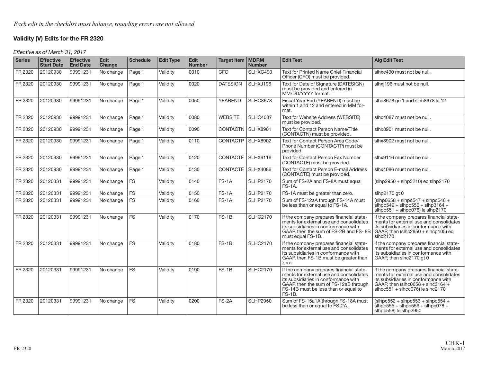### **Validity (V) Edits for the FR 2320**

Effective as of March 31, 2017

| <b>Series</b> | <b>Effective</b><br><b>Start Date</b> | <b>Effective</b><br><b>End Date</b> | Edit<br>Change | <b>Schedule</b> | <b>Edit Type</b> | Edit<br><b>Number</b> | Target Item   MDRM  | <b>Number</b>   | <b>Edit Test</b>                                                                                                                                                                                                         | <b>Alg Edit Test</b>                                                                                                                                                                                  |
|---------------|---------------------------------------|-------------------------------------|----------------|-----------------|------------------|-----------------------|---------------------|-----------------|--------------------------------------------------------------------------------------------------------------------------------------------------------------------------------------------------------------------------|-------------------------------------------------------------------------------------------------------------------------------------------------------------------------------------------------------|
| FR 2320       | 20120930                              | 99991231                            | No change      | Page 1          | Validity         | 0010                  | <b>CFO</b>          | SLHXC490        | <b>Text for Printed Name Chief Financial</b><br>Officer (CFO) must be provided.                                                                                                                                          | slhxc490 must not be null.                                                                                                                                                                            |
| FR 2320       | 20120930                              | 99991231                            | No change      | Page 1          | Validity         | 0020                  | <b>DATESIGN</b>     | SLHXJ196        | Text for Date of Signature (DATESIGN)<br>must be provided and entered in<br>MM/DD/YYYY format.                                                                                                                           | slhxj196 must not be null.                                                                                                                                                                            |
| FR 2320       | 20120930                              | 99991231                            | No change      | Page 1          | Validity         | 0050                  | YEAREND             | <b>SLHC8678</b> | Fiscal Year End (YEAREND) must be<br>within 1 and 12 and entered in MM for-<br>mat.                                                                                                                                      | slhc8678 ge 1 and slhc8678 le 12                                                                                                                                                                      |
| FR 2320       | 20120930                              | 99991231                            | No change      | Page 1          | Validity         | 0080                  | <b>WEBSITE</b>      | <b>SLHC4087</b> | Text for Website Address (WEBSITE)<br>must be provided.                                                                                                                                                                  | slhc4087 must not be null.                                                                                                                                                                            |
| FR 2320       | 20120930                              | 99991231                            | No change      | Page 1          | Validity         | 0090                  | CONTACTN   SLHX8901 |                 | Text for Contact Person Name/Title<br>(CONTACTN) must be provided.                                                                                                                                                       | slhx8901 must not be null.                                                                                                                                                                            |
| FR 2320       | 20120930                              | 99991231                            | No change      | Page 1          | Validity         | 0110                  | CONTACTP            | <b>SLHX8902</b> | Text for Contact Person Area Code/<br>Phone Number (CONTACTP) must be<br>provided.                                                                                                                                       | slhx8902 must not be null.                                                                                                                                                                            |
| FR 2320       | 20120930                              | 99991231                            | No change      | Page 1          | Validity         | 0120                  | <b>CONTACTF</b>     | <b>SLHX9116</b> | Text for Contact Person Fax Number<br>(CONTACTF) must be provided.                                                                                                                                                       | slhx9116 must not be null.                                                                                                                                                                            |
| FR 2320       | 20120930                              | 99991231                            | No change      | Page 1          | Validity         | 0130                  | CONTACTE   SLHX4086 |                 | Text for Contact Person E-mail Address<br>(CONTACTE) must be provided.                                                                                                                                                   | slhx4086 must not be null.                                                                                                                                                                            |
| FR 2320       | 20120331                              | 99991231                            | No change      | <b>FS</b>       | Validity         | 0140                  | $FS-1A$             | <b>SLHP2170</b> | Sum of FS-2A and FS-8A must equal<br><b>FS-1A.</b>                                                                                                                                                                       | $(\text{slhp}2950 + \text{slhp}3210)$ eg slhp2170                                                                                                                                                     |
| FR 2320       | 20120331                              | 99991231                            | No change      | <b>FS</b>       | Validity         | 0150                  | $FS-1A$             | <b>SLHP2170</b> | FS-1A must be greater than zero.                                                                                                                                                                                         | slhp2170 qt 0                                                                                                                                                                                         |
| FR 2320       | 20120331                              | 99991231                            | No change      | <b>FS</b>       | Validity         | 0160                  | $FS-1A$             | <b>SLHP2170</b> | Sum of FS-12aA through FS-14A must<br>be less than or equal to FS-1A.                                                                                                                                                    | $(\text{slhp}0658 + \text{slhpc}547 + \text{slhpc}548 +$<br>$shpc549 + shpc550 + shp3164 +$<br>$\frac{1}{2}$ slhpc551 + slhpc076) le slhp2170                                                         |
| FR 2320       | 20120331                              | 99991231                            | No change      | <b>FS</b>       | Validity         | 0170                  | $FS-1B$             | <b>SLHC2170</b> | If the company prepares financial state-<br>ments for external use and consolidates<br>its subsidiaries in conformance with<br>GAAP, then the sum of FS-2B and FS-8B<br>must equal FS-1B.                                | if the company prepares financial state-<br>ments for external use and consolidates<br>its subsidiaries in conformance with<br>GAAP, then (slhc $2950 +$ slhcg105) eq<br>slhc2170                     |
| FR 2320       | 20120331                              | 99991231                            | No change      | <b>FS</b>       | Validity         | 0180                  | $FS-1B$             | <b>SLHC2170</b> | If the company prepares financial state-<br>ments for external use and consolidates<br>its subsidiaries in conformance with<br>GAAP, then FS-1B must be greater than<br>zero.                                            | if the company prepares financial state-<br>ments for external use and consolidates<br>its subsidiaries in conformance with<br>GAAP, then slhc2170 gt 0                                               |
| FR 2320       | 20120331                              | 99991231                            | No change      | <b>FS</b>       | Validity         | 0190                  | $FS-1B$             | <b>SLHC2170</b> | If the company prepares financial state-<br>ments for external use and consolidates<br>its subsidiaries in conformance with<br>GAAP, then the sum of FS-12aB through<br>FS-14B must be less than or equal to<br>$FS-1B.$ | if the company prepares financial state-<br>ments for external use and consolidates<br>its subsidiaries in conformance with<br>GAAP, then (slhc0658 + slhc3164 +<br>$shcc551 + shcc076$ ) le slhc2170 |
| FR 2320       | 20120331                              | 99991231                            | No change      | <b>FS</b>       | Validity         | 0200                  | FS-2A               | <b>SLHP2950</b> | Sum of FS-15a1A through FS-18A must<br>be less than or equal to FS-2A.                                                                                                                                                   | $(\text{slhpc}552 + \text{slhpc}553 + \text{slhpc}554 +$<br>$\shpc555 + \shpc556 + \shpc078 +$<br>slhpc558) le slhp2950                                                                               |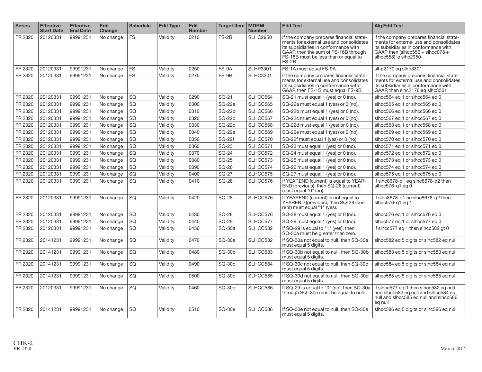| <b>Series</b> | <b>Effective</b><br><b>Start Date</b> | <b>Effective</b><br><b>End Date</b> | <b>Edit</b><br>Change | <b>Schedule</b> | <b>Edit Type</b> | <b>Edit</b><br><b>Number</b> | <b>Target Item</b> | <b>MDRM</b><br><b>Number</b> | <b>Edit Test</b>                                                                                                                                                                                                      | <b>Alg Edit Test</b>                                                                                                                                                                        |
|---------------|---------------------------------------|-------------------------------------|-----------------------|-----------------|------------------|------------------------------|--------------------|------------------------------|-----------------------------------------------------------------------------------------------------------------------------------------------------------------------------------------------------------------------|---------------------------------------------------------------------------------------------------------------------------------------------------------------------------------------------|
| FR 2320       | 20120331                              | 99991231                            | No change             | <b>FS</b>       | Validity         | 0210                         | $FS-2B$            | <b>SLHC2950</b>              | If the company prepares financial state-<br>ments for external use and consolidates<br>its subsidiaries in conformance with<br>GAAP, then the sum of FS-16B through<br>FS-18B must be less than or equal to<br>FS-2B. | if the company prepares financial state-<br>ments for external use and consolidates<br>its subsidiaries in conformance with<br>GAAP then (slhcc $556 +$ slhcc078 +<br>slhcc558) le slhc2950 |
| FR 2320       | 20120331                              | 99991231                            | No change             | <b>FS</b>       | Validity         | 0250                         | FS-9A              | <b>SLHP3301</b>              | FS-1A must equal FS-9A.                                                                                                                                                                                               | slhp2170 eq slhp3301                                                                                                                                                                        |
| FR 2320       | 20120331                              | 99991231                            | No change             | <b>FS</b>       | Validity         | 0270                         | FS-9B              | <b>SLHC3301</b>              | If the company prepares financial state-<br>ments for external use and consolidates<br>its subsidiaries in conformance with<br>GAAP, then FS-1B must equal FS-9B.                                                     | if the company prepares financial state-<br>ments for external use and consolidates<br>its subsidiaries in conformance with<br>GAAP, then slhc2170 eq slhc3301                              |
| FR 2320       | 20120331                              | 99991231                            | No change             | SQ              | Validity         | 0290                         | SQ-21              | SLHCC564                     | SQ-21 must equal 1 (yes) or 0 (no).                                                                                                                                                                                   | slhcc564 eq 1 or slhcc564 eq 0                                                                                                                                                              |
| FR 2320       | 20120331                              | 99991231                            | No change             | SG              | Validity         | 0300                         | SQ-22a             | SLHCC565                     | SQ-22a must equal 1 (yes) or 0 (no).                                                                                                                                                                                  | slhcc565 eq 1 or slhcc565 eq 0                                                                                                                                                              |
| FR 2320       | 20120331                              | 99991231                            | No change             | SQ              | Validity         | 0310                         | <b>SQ-22b</b>      | SLHCC566                     | SQ-22b must equal 1 (yes) or 0 (no).                                                                                                                                                                                  | slhcc566 eq 1 or slhcc566 eq 0                                                                                                                                                              |
| FR 2320       | 20120331                              | 99991231                            | No change             | SQ              | Validity         | 0320                         | <b>SQ-22c</b>      | SLHCC567                     | SQ-22c must equal 1 (yes) or 0 (no).                                                                                                                                                                                  | slhcc567 eq 1 or slhcc567 eq 0                                                                                                                                                              |
| FR 2320       | 20120331                              | 99991231                            | No change             | SQ              | Validity         | 0330                         | <b>SQ-22d</b>      | SLHCC568                     | SQ-22d must equal 1 (yes) or 0 (no).                                                                                                                                                                                  | slhcc568 eq 1 or slhcc568 eq 0                                                                                                                                                              |
| FR 2320       | 20120331                              | 99991231                            | No change             | SQ              | Validity         | 0340                         | SQ-22e             | SLHCC569                     | SQ-22e must equal 1 (yes) or 0 (no).                                                                                                                                                                                  | slhcc569 eq 1 or slhcc569 eq 0                                                                                                                                                              |
| FR 2320       | 20120331                              | 99991231                            | No change             | SQ              | Validity         | 0350                         | SQ-22f             | SLHCC570                     | SQ-22f must equal 1 (yes) or 0 (no).                                                                                                                                                                                  | slhcc570 eq 1 or slhcc570 eq 0                                                                                                                                                              |
| FR 2320       | 20120331                              | 99991231                            | No change             | SQ              | Validity         | 0360                         | SQ-23              | SLHCC571                     | SQ-23 must equal 1 (yes) or 0 (no).                                                                                                                                                                                   | slhcc571 eq 1 or slhcc571 eq 0                                                                                                                                                              |
| FR 2320       | 20120331                              | 99991231                            | No change             | SQ              | Validity         | 0370                         | SQ-24              | SLHCC572                     | SQ-24 must equal 1 (yes) or 0 (no).                                                                                                                                                                                   | slhcc572 eq 1 or slhcc572 eq 0                                                                                                                                                              |
| FR 2320       | 20120331                              | 99991231                            | No change             | SG              | Validity         | 0380                         | SQ-25              | SLHCC573                     | SQ-25 must equal 1 (yes) or 0 (no).                                                                                                                                                                                   | slhcc573 eq 1 or slhcc573 eq 0                                                                                                                                                              |
| FR 2320       | 20120331                              | 99991231                            | No change             | SQ              | Validity         | 0390                         | SQ-26              | SLHCC574                     | SQ-26 must equal 1 (yes) or 0 (no).                                                                                                                                                                                   | slhcc574 eq 1 or slhcc574 eq 0                                                                                                                                                              |
| FR 2320       | 20120331                              | 99991231                            | No change             | SQ              | Validity         | 0400                         | <b>SQ-27</b>       | SLHCC575                     | SQ-27 must equal 1 (yes) or 0 (no).                                                                                                                                                                                   | slhcc575 eq 1 or slhcc575 eq 0                                                                                                                                                              |
| FR 2320       | 20120331                              | 99991231                            | No change             | SQ              | Validitv         | 0410                         | <b>SQ-28</b>       | SLHCC576                     | If YEAREND (current) is equal to YEAR-<br>END (previous), then SQ-28 (current)<br>must equal "0" (no).                                                                                                                | if slhc8678-q1 eq slhc8678-q2 then<br>slhcc $576-$ a1 eq 0                                                                                                                                  |
| FR 2320       | 20120331                              | 99991231                            | No change             | SQ              | Validitv         | 0420                         | SQ-28              | SLHCC576                     | If YEAREND (current) is not equal to<br>YEAREND (previous), then SQ-28 (cur-<br>rent) must equal "1" (yes).                                                                                                           | if slhc8678-a1 ne slhc8678-a2 then<br>slhcc576-g1 eg 1                                                                                                                                      |
| FR 2320       | 20120331                              | 99991231                            | No change             | SQ              | Validity         | 0430                         | <b>SQ-28</b>       | SLHCC576                     | SQ-28 must equal 1 (yes) or 0 (no).                                                                                                                                                                                   | slhcc576 eq 1 or slhcc576 eq 0                                                                                                                                                              |
| FR 2320       | 20120331                              | 99991231                            | No change             | SQ              | Validity         | 0440                         | SQ-29              | SLHCC577                     | SQ-29 must equal 1 (yes) or 0 (no).                                                                                                                                                                                   | slhcc577 eq 1 or slhcc577 eq 0                                                                                                                                                              |
| FR 2320       | 20120331                              | 99991231                            | No change             | SQ              | Validity         | 0450                         | $SO-30a$           | SLHCC582                     | If SQ-29 is equal to "1" (yes), then<br>SQ-30a must be greater than zero.                                                                                                                                             | if slhcc577 eq 1 then slhcc582 qt 0                                                                                                                                                         |
| FR 2320       | 20141231                              | 99991231                            | No change             | SQ              | Validity         | 0470                         | SQ-30a             | SLHCC582                     | If SQ-30a not equal to null, then SQ-30a<br>must equal 5 digits.                                                                                                                                                      | slhcc582 eq 5 digits or slhc582 eq null                                                                                                                                                     |
| FR 2320       | 20141231                              | 99991231                            | No change             | SQ              | Validity         | 0480                         | SQ-30b             | SLHCC583                     | If SQ-30b not equal to null, then SQ-30b<br>must equal 5 digits.                                                                                                                                                      | slhcc583 eq 5 digits or slhc583 eq null                                                                                                                                                     |
| FR 2320       | 20141231                              | 99991231                            | No change             | SQ              | Validity         | 0490                         | SQ-30c             | SLHCC584                     | If SQ-30c not equal to null, then SQ-30c<br>must equal 5 digits.                                                                                                                                                      | slhcc584 eq 5 digits or slhc584 eq null                                                                                                                                                     |
| FR 2320       | 20141231                              | 99991231                            | No change             | SQ              | Validity         | 0500                         | SQ-30d             | SLHCC585                     | If SQ-30d not equal to null, then SQ-30d<br>must equal 5 digits.                                                                                                                                                      | slhcc585 eq 5 digits or slhc585 eq null                                                                                                                                                     |
| FR 2320       | 20120331                              | 99991231                            | No change             | <b>SQ</b>       | Validity         | 0460                         | $SO-30e$           | SLHCC586                     | If SQ-29 is equal to "0" (no), then SQ-30a<br>through SQ-30e must be equal to null.                                                                                                                                   | if slhcc577 eg 0 then slhcc582 eg null<br>and slhcc583 eq null and slhcc584 eq<br>null and slhcc585 eq null and slhcc586<br>eq null                                                         |
| FR 2320       | 20141231                              | 99991231                            | No change             | <b>SQ</b>       | Validity         | 0510                         | $SQ-30e$           | SLHCC586                     | If SQ-30e not equal to null, then SQ-30e<br>must equal 5 digits.                                                                                                                                                      | slhcc586 eq 5 digits or slhc586 eq null                                                                                                                                                     |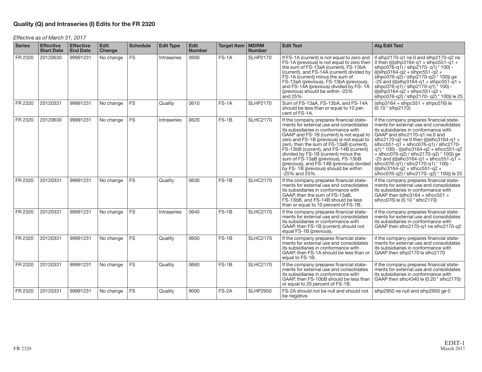#### **Quality (Q) and Intraseries (I) Edits for the FR 2320**

Effective as of March 31, 2017

| <b>Series</b> | <b>Effective</b><br><b>Start Date</b> | <b>Effective</b><br><b>End Date</b> | Edit<br>Change | <b>Schedule</b> | <b>Edit Type</b> | Edit<br><b>Number</b> | Target Item   MDRM | <b>Number</b>   | <b>Edit Test</b>                                                                                                                                                                                                                                                                                                                                                                                                                                                                                                                         | <b>Alg Edit Test</b>                                                                                                                                                                                                                                                                                                                                                                                                                                                                                 |
|---------------|---------------------------------------|-------------------------------------|----------------|-----------------|------------------|-----------------------|--------------------|-----------------|------------------------------------------------------------------------------------------------------------------------------------------------------------------------------------------------------------------------------------------------------------------------------------------------------------------------------------------------------------------------------------------------------------------------------------------------------------------------------------------------------------------------------------------|------------------------------------------------------------------------------------------------------------------------------------------------------------------------------------------------------------------------------------------------------------------------------------------------------------------------------------------------------------------------------------------------------------------------------------------------------------------------------------------------------|
| FR 2320       | 20120630                              | 99991231                            | No change      | <b>FS</b>       | Intraseries      | 0600                  | $FS-1A$            | <b>SLHP2170</b> | If FS-1A (current) is not equal to zero and<br>FS-1A (previous) is not equal to zero then<br>the sum of FS-13aA (current), FS-13bA<br>(current), and FS-14A (current) divided by   (((slhp3164-q2 + slhpc551-q2 +<br>FS-1A (current) minus the sum of<br>FS-13aA (prevíous), FS-13bA (previous),<br>and FS-14A (previous) divided by FS-1A<br>(previous) should be within -25%<br>and 25%.                                                                                                                                               | if slhp2170-q1 ne 0 and slhp2170-q2 ne<br>0 then ((((slhp3164-q1 + slhpc551-q1 +<br>slhpc0 $\overrightarrow{76}$ -q1 $\overrightarrow{9}$ / slhp2170-q1 $\overrightarrow{100}$ + 100 $\overrightarrow{9}$<br>slhpc076-q2) / slhp2170-q2) * 100)) qe<br>$-25$ and ((((slhp3164-g1 + slhpc551-g1 +<br>slhpc076-q1) / slhp2170-q1) * 100) -<br>$(((\text{sihp3164-q2 + \text{sihp}c551-q2 +$<br>$\frac{1}{100}$ sincore-q2) / sincore-q2) * 100) le 25                                                  |
| FR 2320       | 20120331                              | 99991231                            | No change      | <b>FS</b>       | Quality          | 0610                  | $FS-1A$            | <b>SLHP2170</b> | Sum of FS-13aA, FS-13bA, and FS-14A<br>should be less than or equal to 10 per-<br>cent of FS-1A.                                                                                                                                                                                                                                                                                                                                                                                                                                         | $(\text{slhp}3164 + \text{slhpc}551 + \text{slhpc}076)$ le<br>$(0.10 * slhp2170)$                                                                                                                                                                                                                                                                                                                                                                                                                    |
| FR 2320       | 20120630                              | 99991231                            | No change      | <b>FS</b>       | Intraseries      | 0620                  | $FS-1B$            | <b>SLHC2170</b> | If the company prepares financial state-<br>ments for external use and consolidates<br>its subsidiaries in conformance with<br>GAAP and FS-1B (current) is not equal to $ $ GAAP and slhc2170-q1 ne 0 and<br>zero and FS-1B (previous) is not equal to<br>zero, then the sum of FS-13aB (current),<br>FS-13bB (current), and FS-14B (current)<br>divided by FS-1B (current) minus the<br>sum of FS-13aB (previous), FS-13bB<br>(previous), and FS-14B (previous) divided<br>by FS-1B (previous) should be within<br>$-25\%$ and $25\%$ . | if the company prepares financial state-<br>ments for external use and consolidates<br>its subsidiaries in conformance with<br>slhc2170-q2 ne 0 then ((((slhc3164-q1 +<br>$shcc551-q1 + shcc076-q1$ / $shc2170-q1$<br>  q1) * 100) - (((slhc3164-q2 + slhcc551-q2<br>$+$ slhcc076-q2) / slhc2170-q2) $*$ 100)) ge<br>$-25$ and ((((slhc3164-g1 + slhcc551-g1 +<br>slhcc076-q1) / slhc2170-q1) * 100) -<br>$(((\text{slhc3164-q2 + \text{slhcc551-q2 +$<br>sihcc076-q2) / slhc2170- q2) * 100)) le 25 |
| FR 2320       | 20120331                              | 99991231                            | No change      | <b>FS</b>       | Quality          | 0630                  | $FS-1B$            | <b>SLHC2170</b> | If the company prepares financial state-<br>ments for external use and consolidates<br>its subsidiaries in conformance with<br>GAAP, then the sum of FS-13aB,<br>FS-13bB, and FS-14B should be less<br>than or equal to 10 percent of FS-1B.                                                                                                                                                                                                                                                                                             | if the company prepares financial state-<br>ments for external use and consolidates<br>its subsidiaries in conformance with<br>GAAP then (slhc $3164 +$ slhcc $551 +$<br>slhcc076) le (0.10 * slhc2170)                                                                                                                                                                                                                                                                                              |
| FR 2320       | 20120331                              | 99991231                            | No change      | <b>FS</b>       | Intraseries      | 0640                  | $FS-1B$            | <b>SLHC2170</b> | If the company prepares financial state-<br>ments for external use and consolidates<br>its subsidiaries in conformance with<br>GAAP, then FS-1B (current) should not<br>equal FS-1B (previous).                                                                                                                                                                                                                                                                                                                                          | if the company prepares financial state-<br>ments for external use and consolidates<br>its subsidiaries in conformance with<br>GAAP then slhc2170-g1 ne slhc2170-g2                                                                                                                                                                                                                                                                                                                                  |
| FR 2320       | 20120331                              | 99991231                            | No change      | <b>FS</b>       | Quality          | 0650                  | $FS-1B$            | <b>SLHC2170</b> | If the company prepares financial state-<br>ments for external use and consolidates<br>its subsidiaries in conformance with<br>GAAP, then FS-1A should be less than or<br>equal to FS-1B.                                                                                                                                                                                                                                                                                                                                                | if the company prepares financial state-<br>ments for external use and consolidates<br>its subsidiaries in conformance with<br>GAAP then slhp2170 le slhc2170                                                                                                                                                                                                                                                                                                                                        |
| FR 2320       | 20120331                              | 99991231                            | No change      | <b>FS</b>       | Quality          | 0660                  | $FS-1B$            | <b>SLHC2170</b> | If the company prepares financial state-<br>ments for external use and consolidates<br>its subsidiaries in conformance with<br>GAAP, then FS-10bB should be less than<br>or equal to 20 percent of FS-1B.                                                                                                                                                                                                                                                                                                                                | if the company prepares financial state-<br>ments for external use and consolidates<br>its subsidiaries in conformance with<br>GAAP then slhc4340 le (0.20 * slhc2170)                                                                                                                                                                                                                                                                                                                               |
| FR 2320       | 20120331                              | 99991231                            | No change      | <b>FS</b>       | Quality          | 9000                  | FS-2A              | <b>SLHP2950</b> | FS-2A should not be null and should not<br>be negative.                                                                                                                                                                                                                                                                                                                                                                                                                                                                                  | slhp2950 ne null and slhp2950 ge 0                                                                                                                                                                                                                                                                                                                                                                                                                                                                   |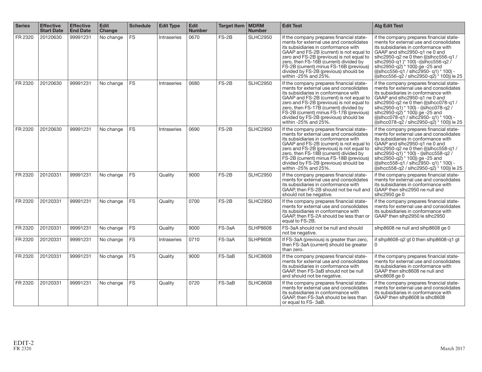| <b>Series</b> | <b>Effective</b><br><b>Start Date</b> | <b>Effective</b><br><b>End Date</b> | <b>Edit</b><br>Change | <b>Schedule</b> | <b>Edit Type</b> | <b>Edit</b><br><b>Number</b> | Target Item   MDRM | <b>Number</b>   | <b>Edit Test</b>                                                                                                                                                                                                                                                                                                                                                                  | <b>Alg Edit Test</b>                                                                                                                                                                                                                                                                                                                                                                             |
|---------------|---------------------------------------|-------------------------------------|-----------------------|-----------------|------------------|------------------------------|--------------------|-----------------|-----------------------------------------------------------------------------------------------------------------------------------------------------------------------------------------------------------------------------------------------------------------------------------------------------------------------------------------------------------------------------------|--------------------------------------------------------------------------------------------------------------------------------------------------------------------------------------------------------------------------------------------------------------------------------------------------------------------------------------------------------------------------------------------------|
| FR 2320       | 20120630                              | 99991231                            | No change             | <b>FS</b>       | Intraseries      | 0670                         | $FS-2B$            | <b>SLHC2950</b> | If the company prepares financial state-<br>ments for external use and consolidates<br>its subsidiaries in conformance with<br>GAAP and FS-2B (current) is not equal to<br>zero and FS-2B (previous) is not equal to<br>zero, then FS-16B (current) divided by<br>FS-2B (current) minus FS-16B (previous)<br>divided by FS-2B (previous) should be<br>within $-25\%$ and $25\%$ . | if the company prepares financial state-<br>ments for external use and consolidates<br>its subsidiaries in conformance with<br>GAAP and slhc2950-q1 ne 0 and<br>slhc2950-q2 ne 0 then (((slhcc556-q1/<br>slhc2950-q1)* 100) -((slhcc556-q2)<br>slhc2950-q2) <sup>*</sup> 100) ge -25 and<br>(((slhcc556-q1 / slhc2950-q1) * 100) -<br>$((\text{slhcc556-q2} / \text{slhc2950-q2}) * 100))$ le 25 |
| FR 2320       | 20120630                              | 99991231                            | No change             | <b>FS</b>       | Intraseries      | 0680                         | $FS-2B$            | <b>SLHC2950</b> | If the company prepares financial state-<br>ments for external use and consolidates<br>its subsidiaries in conformance with<br>GAAP and FS-2B (current) is not equal to<br>zero and FS-2B (previous) is not equal to<br>zero, then FS-17B (current) divided by<br>FS-2B (current) minus FS-17B (previous)<br>divided by FS-2B (previous) should be<br>within $-25\%$ and $25\%$ . | if the company prepares financial state-<br>ments for external use and consolidates<br>its subsidiaries in conformance with<br>GAAP and slhc2950-q1 ne 0 and<br>slhc2950-q2 ne 0 then (((slhcc078-q1 /<br>slhc2950-q1) * 100) - ((slhcc078-q2)<br>slhc2950-q2) * 100)) ge-25 and<br>(((slhcc078-g1 / slhc2950-g1) * 100) -<br>$((\text{slhcc078-q2} / \text{slhc2950-q2})$ * 100)) le 25         |
| FR 2320       | 20120630                              | 99991231                            | No change             | <b>FS</b>       | Intraseries      | 0690                         | $FS-2B$            | <b>SLHC2950</b> | If the company prepares financial state-<br>ments for external use and consolidates<br>its subsidiaries in conformance with<br>GAAP and FS-2B (current) is not equal to<br>zero and FS-2B (previous) is not equal to<br>zero, then FS-18B (current) divided by<br>FS-2B (current) minus FS-18B (previous)<br>divided by FS-2B (previous) should be<br>within $-25\%$ and $25\%$ . | if the company prepares financial state-<br>ments for external use and consolidates<br>its subsidiaries in conformance with<br>GAAP and slhc2950-q1 ne 0 and<br>slhc2950-q2 ne 0 then (((slhcc558-q1/<br>slhc2950-q1) * 100) - ((slhcc558-q2)<br>slhc2950-q2) * 100)) ge -25 and<br>(((slhcc558-q1 / slhc2950-q1) * 100) -<br>((slhcc558-q2 / slhc2950-q2) * 100)) le 25                         |
| FR 2320       | 20120331                              | 99991231                            | No change             | <b>FS</b>       | Quality          | 9000                         | $FS-2B$            | <b>SLHC2950</b> | If the company prepares financial state-<br>ments for external use and consolidates<br>its subsidiaries in conformance with<br>GAAP, then FS-2B should not be null and GAAP then slhc2950 ne null and<br>should not be negative.                                                                                                                                                  | if the company prepares financial state-<br>ments for external use and consolidates<br>its subsidiaries in conformance with<br>slhc2950 ge 0                                                                                                                                                                                                                                                     |
| FR 2320       | 20120331                              | 99991231                            | No change             | <b>FS</b>       | Quality          | 0700                         | $FS-2B$            | <b>SLHC2950</b> | If the company prepares financial state-<br>ments for external use and consolidates<br>its subsidiaries in conformance with<br>GAAP, then FS-2A should be less than or<br>equal to FS-2B.                                                                                                                                                                                         | if the company prepares financial state-<br>ments for external use and consolidates<br>its subsidiaries in conformance with<br>GAAP then slhp2950 le slhc2950                                                                                                                                                                                                                                    |
| FR 2320       | 20120331                              | 99991231                            | No change             | <b>FS</b>       | Quality          | 9000                         | FS-3aA             | <b>SLHP8608</b> | FS-3aA should not be null and should<br>not be negative.                                                                                                                                                                                                                                                                                                                          | slhp8608 ne null and slhp8608 ge 0                                                                                                                                                                                                                                                                                                                                                               |
| FR 2320       | 20120331                              | 99991231                            | No change             | <b>FS</b>       | Intraseries      | 0710                         | FS-3aA             | <b>SLHP8608</b> | If FS-3aA (previous) is greater than zero,<br>then FS-3aA (current) should be greater<br>than zero.                                                                                                                                                                                                                                                                               | if slhp8608-q2 gt 0 then slhp8608-q1 gt                                                                                                                                                                                                                                                                                                                                                          |
| FR 2320       | 20120331                              | 99991231                            | No change             | <b>FS</b>       | Quality          | 9000                         | FS-3aB             | <b>SLHC8608</b> | If the company prepares financial state-<br>ments for external use and consolidates<br>its subsidiaries in conformance with<br>GAAP, then FS-3aB should not be null<br>and should not be negative.                                                                                                                                                                                | if the company prepares financial state-<br>ments for external use and consolidates<br>its subsidiaries in conformance with<br>GAAP then slhc8608 ne null and<br>slhc $8608$ ge $0$                                                                                                                                                                                                              |
| FR 2320       | 20120331                              | 99991231                            | No change             | <b>FS</b>       | Quality          | 0720                         | FS-3aB             | <b>SLHC8608</b> | If the company prepares financial state-<br>ments for external use and consolidates<br>its subsidiaries in conformance with<br>GAAP, then FS-3aA should be less than<br>or equal to FS-3aB.                                                                                                                                                                                       | if the company prepares financial state-<br>ments for external use and consolidates<br>its subsidiaries in conformance with<br>GAAP then slhp8608 le slhc8608                                                                                                                                                                                                                                    |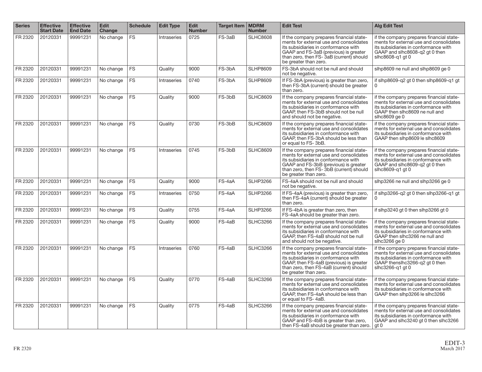| <b>Series</b> | <b>Effective</b><br><b>Start Date</b> | <b>Effective</b><br><b>End Date</b> | <b>Edit</b><br>Change | <b>Schedule</b> | <b>Edit Type</b> | <b>Edit</b><br><b>Number</b> | Target Item   MDRM | <b>Number</b>   | <b>Edit Test</b>                                                                                                                                                                                                                           | <b>Alg Edit Test</b>                                                                                                                                                              |
|---------------|---------------------------------------|-------------------------------------|-----------------------|-----------------|------------------|------------------------------|--------------------|-----------------|--------------------------------------------------------------------------------------------------------------------------------------------------------------------------------------------------------------------------------------------|-----------------------------------------------------------------------------------------------------------------------------------------------------------------------------------|
| FR 2320       | 20120331                              | 99991231                            | No change             | <b>FS</b>       | Intraseries      | 0725                         | FS-3aB             | <b>SLHC8608</b> | If the company prepares financial state-<br>ments for external use and consolidates<br>its subsidiaries in conformance with<br>GAAP and FS-3aB (previous) is greater<br>than zero, then FS-3aB (current) should<br>be greater than zero.   | if the company prepares financial state-<br>ments for external use and consolidates<br>its subsidiaries in conformance with<br>GAAP and slhc8608-q2 qt 0 then<br>slhc8608-q1 qt 0 |
| FR 2320       | 20120331                              | 99991231                            | No change             | <b>FS</b>       | Quality          | 9000                         | FS-3bA             | <b>SLHP8609</b> | FS-3bA should not be null and should<br>not be negative.                                                                                                                                                                                   | slhp8609 ne null and slhp8609 ge 0                                                                                                                                                |
| FR 2320       | 20120331                              | 99991231                            | No change             | <b>FS</b>       | Intraseries      | 0740                         | FS-3bA             | <b>SLHP8609</b> | If FS-3bA (previous) is greater than zero,<br>then FS-3bA (current) should be greater<br>than zero.                                                                                                                                        | if slhp8609-q2 qt 0 then slhp8609-q1 qt                                                                                                                                           |
| FR 2320       | 20120331                              | 99991231                            | No change             | <b>FS</b>       | Quality          | 9000                         | FS-3bB             | <b>SLHC8609</b> | If the company prepares financial state-<br>ments for external use and consolidates<br>its subsidiaries in conformance with<br>GAAP, then FS-3bB should not be null<br>and should not be negative.                                         | if the company prepares financial state-<br>ments for external use and consolidates<br>its subsidiaries in conformance with<br>GAAP then slhc8609 ne null and<br>slhc8609 ge 0    |
| FR 2320       | 20120331                              | 99991231                            | No change             | <b>FS</b>       | Quality          | 0730                         | FS-3bB             | <b>SLHC8609</b> | If the company prepares financial state-<br>ments for external use and consolidates<br>its subsidiaries in conformance with<br>GAAP, then FS-3bA should be less than<br>or equal to FS-3bB.                                                | if the company prepares financial state-<br>ments for external use and consolidates<br>its subsidiaries in conformance with<br>GAAP then slhp8609 le slhc8609                     |
| FR 2320       | 20120331                              | 99991231                            | No change             | <b>FS</b>       | Intraseries      | 0745                         | FS-3bB             | <b>SLHC8609</b> | If the company prepares financial state-<br>ments for external use and consolidates<br>its subsidiaries in conformance with<br>GAAP and FS-3bB (previous) is greater<br>than zero, then FS-3bB (current) should<br>be greater than zero.   | if the company prepares financial state-<br>ments for external use and consolidates<br>its subsidiaries in conformance with<br>GAAP and slhc8609-q2 qt 0 then<br>slhc8609-g1 gt 0 |
| FR 2320       | 20120331                              | 99991231                            | No change             | <b>FS</b>       | Quality          | 9000                         | FS-4aA             | <b>SLHP3266</b> | FS-4aA should not be null and should<br>not be negative.                                                                                                                                                                                   | slhp3266 ne null and slhp3266 ge 0                                                                                                                                                |
| FR 2320       | 20120331                              | 99991231                            | No change             | <b>FS</b>       | Intraseries      | 0750                         | FS-4aA             | <b>SLHP3266</b> | If FS-4aA (previous) is greater than zero,<br>then FS-4aA (current) should be greater<br>than zero.                                                                                                                                        | if slhp3266-q2 qt 0 then slhp3266-q1 qt<br>0                                                                                                                                      |
| FR 2320       | 20120331                              | 99991231                            | No change             | <b>FS</b>       | Quality          | 0755                         | FS-4aA             | <b>SLHP3266</b> | If FS-4bA is greater than zero, then<br>FS-4aA should be greater than zero.                                                                                                                                                                | if slhp3240 gt 0 then slhp3266 gt 0                                                                                                                                               |
| FR 2320       | 20120331                              | 99991231                            | No change             | <b>FS</b>       | Quality          | 9000                         | FS-4aB             | <b>SLHC3266</b> | If the company prepares financial state-<br>ments for external use and consolidates<br>its subsidiaries in conformance with<br>GAAP, then FS-4aB should not be null<br>and should not be negative.                                         | if the company prepares financial state-<br>ments for external use and consolidates<br>its subsidiaries in conformance with<br>GAAP then slhc3266 ne null and<br>slhc3266 ge 0    |
| FR 2320       | 20120331                              | 99991231                            | No change             | <b>FS</b>       | Intraseries      | 0760                         | FS-4aB             | <b>SLHC3266</b> | If the company prepares financial state-<br>ments for external use and consolidates<br>its subsidiaries in conformance with<br>GAAP, then FS-4aB (previous) is greater<br>than zero, then FS-4aB (current) should<br>be greater than zero. | if the company prepares financial state-<br>ments for external use and consolidates<br>its subsidiaries in conformance with<br>GAAP thenslhc3266-q2 qt 0 then<br>slhc3266-g1 gt 0 |
| FR 2320       | 20120331                              | 99991231                            | No change             | <b>FS</b>       | Quality          | 0770                         | FS-4aB             | <b>SLHC3266</b> | If the company prepares financial state-<br>ments for external use and consolidates<br>its subsidiaries in conformance with<br>GAAP, then FS-4aA should be less than<br>or equal to FS-4aB.                                                | if the company prepares financial state-<br>ments for external use and consolidates<br>its subsidiaries in conformance with<br>GAAP then slhp3266 le slhc3266                     |
| FR 2320       | 20120331                              | 99991231                            | No change             | <b>FS</b>       | Quality          | 0775                         | FS-4aB             | <b>SLHC3266</b> | If the company prepares financial state-<br>ments for external use and consolidates<br>its subsidiaries in conformance with<br>GAAP and FS-4bB is greater than zero,<br>then FS-4aB should be greater than zero.                           | if the company prepares financial state-<br>ments for external use and consolidates<br>its subsidiaries in conformance with<br>GAAP and slhc3240 gt 0 then slhc3266<br>qt 0       |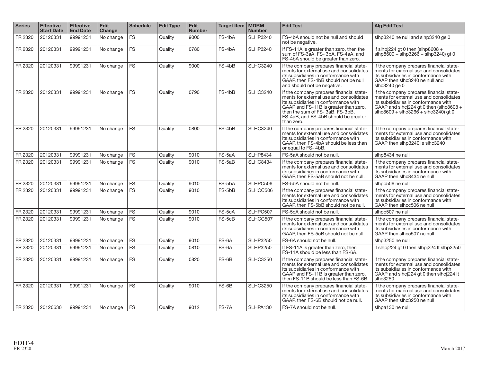| <b>Series</b> | <b>Effective</b><br><b>Start Date</b> | <b>Effective</b><br><b>End Date</b> | <b>Edit</b><br>Change | <b>Schedule</b> | <b>Edit Type</b> | <b>Edit</b><br><b>Number</b> | Target Item   MDRM | <b>Number</b>   | <b>Edit Test</b>                                                                                                                                                                                                                                              | <b>Alg Edit Test</b>                                                                                                                                                                                         |
|---------------|---------------------------------------|-------------------------------------|-----------------------|-----------------|------------------|------------------------------|--------------------|-----------------|---------------------------------------------------------------------------------------------------------------------------------------------------------------------------------------------------------------------------------------------------------------|--------------------------------------------------------------------------------------------------------------------------------------------------------------------------------------------------------------|
| FR 2320       | 20120331                              | 99991231                            | No change             | <b>FS</b>       | Quality          | 9000                         | FS-4bA             | <b>SLHP3240</b> | FS-4bA should not be null and should<br>not be negative.                                                                                                                                                                                                      | slhp3240 ne null and slhp3240 ge 0                                                                                                                                                                           |
| FR 2320       | 20120331                              | 99991231                            | No change             | <b>FS</b>       | Quality          | 0780                         | FS-4bA             | <b>SLHP3240</b> | If FS-11A is greater than zero, then the<br>sum of FS-3aA, FS-3bA, FS-4aA, and<br>FS-4bA should be greater than zero.                                                                                                                                         | if slhpj224 gt 0 then (slhp8608 $+$<br>$slhp8609 + slhp3266 + slhp3240$ gt 0                                                                                                                                 |
| FR 2320       | 20120331                              | 99991231                            | No change             | <b>FS</b>       | Quality          | 9000                         | FS-4bB             | <b>SLHC3240</b> | If the company prepares financial state-<br>ments for external use and consolidates<br>its subsidiaries in conformance with<br>GAAP, then FS-4bB should not be null<br>and should not be negative.                                                            | if the company prepares financial state-<br>ments for external use and consolidates<br>its subsidiaries in conformance with<br>GAAP then slhc3240 ne null and<br>slhc $3240$ ge $0$                          |
| FR 2320       | 20120331                              | 99991231                            | No change             | <b>FS</b>       | Quality          | 0790                         | FS-4bB             | <b>SLHC3240</b> | If the company prepares financial state-<br>ments for external use and consolidates<br>its subsidiaries in conformance with<br>GAAP and FS-11B is greater than zero,<br>then the sum of FS-3aB, FS-3bB,<br>FS-4aB, and FS-4bB should be greater<br>than zero. | if the company prepares financial state-<br>ments for external use and consolidates<br>its subsidiaries in conformance with<br>GAAP and slhcj224 gt 0 then (slhc8608 +<br>$shc8609 + shc3266 + shc3240$ gt 0 |
| FR 2320       | 20120331                              | 99991231                            | No change             | <b>FS</b>       | Quality          | 0800                         | FS-4bB             | <b>SLHC3240</b> | If the company prepares financial state-<br>ments for external use and consolidates<br>its subsidiaries in conformance with<br>GAAP, then FS-4bA should be less than<br>or equal to FS-4bB.                                                                   | if the company prepares financial state-<br>ments for external use and consolidates<br>its subsidiaries in conformance with<br>GAAP then slhp3240 le slhc3240                                                |
| FR 2320       | 20120331                              | 99991231                            | No change             | FS              | Quality          | 9010                         | FS-5aA             | <b>SLHP8434</b> | FS-5aA should not be null.                                                                                                                                                                                                                                    | slhp8434 ne null                                                                                                                                                                                             |
| FR 2320       | 20120331                              | 99991231                            | No change             | <b>FS</b>       | Quality          | 9010                         | FS-5aB             | <b>SLHC8434</b> | If the company prepares financial state-<br>ments for external use and consolidates<br>its subsidiaries in conformance with<br>GAAP, then FS-5aB should not be null.                                                                                          | if the company prepares financial state-<br>ments for external use and consolidates<br>its subsidiaries in conformance with<br>GAAP then slhc8434 ne null                                                    |
| FR 2320       | 20120331                              | 99991231                            | No change             | <b>FS</b>       | Quality          | 9010                         | FS-5bA             | SLHPC506        | FS-5bA should not be null.                                                                                                                                                                                                                                    | slhpc506 ne null                                                                                                                                                                                             |
| FR 2320       | 20120331                              | 99991231                            | No change             | <b>FS</b>       | Quality          | 9010                         | FS-5bB             | SLHCC506        | If the company prepares financial state-<br>ments for external use and consolidates<br>its subsidiaries in conformance with<br>GAAP, then FS-5bB should not be null.                                                                                          | if the company prepares financial state-<br>ments for external use and consolidates<br>its subsidiaries in conformance with<br>GAAP then slhcc506 ne null                                                    |
| FR 2320       | 20120331                              | 99991231                            | No change             | <b>FS</b>       | Quality          | 9010                         | FS-5cA             | SLHPC507        | FS-5cA should not be null.                                                                                                                                                                                                                                    | slhpc507 ne null                                                                                                                                                                                             |
| FR 2320       | 20120331                              | 99991231                            | No change             | <b>FS</b>       | Quality          | 9010                         | FS-5cB             | SLHCC507        | If the company prepares financial state-<br>ments for external use and consolidates<br>its subsidiaries in conformance with<br>GAAP, then FS-5cB should not be null.                                                                                          | if the company prepares financial state-<br>ments for external use and consolidates<br>its subsidiaries in conformance with<br>GAAP then slhcc507 ne null                                                    |
| FR 2320       | 20120331                              | 99991231                            | No change             | <b>FS</b>       | Quality          | 9010                         | FS-6A              | <b>SLHP3250</b> | FS-6A should not be null.                                                                                                                                                                                                                                     | slhp3250 ne null                                                                                                                                                                                             |
| FR 2320       | 20120331                              | 99991231                            | No change             | <b>FS</b>       | Quality          | 0810                         | FS-6A              | <b>SLHP3250</b> | If FS-11A is greater than zero, then<br>FS-11A should be less than FS-6A.                                                                                                                                                                                     | if slhpj224 gt 0 then slhpj224 lt slhp3250                                                                                                                                                                   |
| FR 2320       | 20120331                              | 99991231                            | No change             | <b>FS</b>       | Quality          | 0820                         | FS-6B              | <b>SLHC3250</b> | If the company prepares financial state-<br>ments for external use and consolidates<br>its subsidiaries in conformance with<br>GAAP and FS-11B is greater than zero,<br>then FS-11B should be less than FS-6B.                                                | if the company prepares financial state-<br>ments for external use and consolidates<br>its subsidiaries in conformance with<br>GAAP and slhcj224 gt 0 then slhcj224 lt<br>slhc3250                           |
| FR 2320       | 20120331                              | 99991231                            | No change             | <b>FS</b>       | Quality          | 9010                         | FS-6B              | <b>SLHC3250</b> | If the company prepares financial state-<br>ments for external use and consolidates<br>its subsidiaries in conformance with<br>GAAP, then FS-6B should not be null.                                                                                           | if the company prepares financial state-<br>ments for external use and consolidates<br>its subsidiaries in conformance with<br>GAAP then slhc3250 ne null                                                    |
| FR 2320       | 20120630                              | 99991231                            | No change             | <b>FS</b>       | Quality          | 9012                         | FS-7A              | SLHPA130        | FS-7A should not be null.                                                                                                                                                                                                                                     | slhpa130 ne null                                                                                                                                                                                             |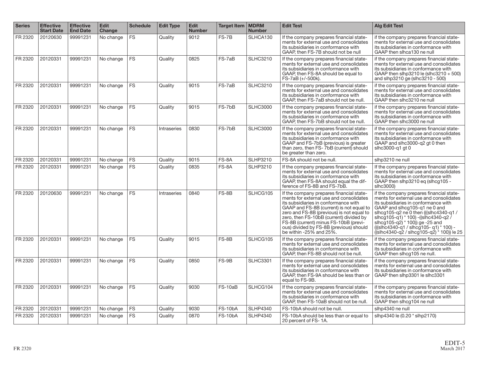| <b>Series</b> | <b>Effective</b><br><b>Start Date</b> | <b>Effective</b><br><b>End Date</b> | <b>Edit</b><br><b>Change</b> | <b>Schedule</b> | <b>Edit Type</b> | <b>Edit</b><br><b>Number</b> | Target Item   MDRM | <b>Number</b>   | <b>Edit Test</b>                                                                                                                                                                                                                                                                                                                                                               | <b>Alg Edit Test</b>                                                                                                                                                                                                                                                                                                                                                    |
|---------------|---------------------------------------|-------------------------------------|------------------------------|-----------------|------------------|------------------------------|--------------------|-----------------|--------------------------------------------------------------------------------------------------------------------------------------------------------------------------------------------------------------------------------------------------------------------------------------------------------------------------------------------------------------------------------|-------------------------------------------------------------------------------------------------------------------------------------------------------------------------------------------------------------------------------------------------------------------------------------------------------------------------------------------------------------------------|
| FR 2320       | 20120630                              | 99991231                            | No change                    | <b>FS</b>       | Quality          | 9012                         | FS-7B              | SLHCA130        | If the company prepares financial state-<br>ments for external use and consolidates<br>its subsidiaries in conformance with<br>GAAP, then FS-7B should not be null                                                                                                                                                                                                             | if the company prepares financial state-<br>ments for external use and consolidates<br>its subsidiaries in conformance with<br>GAAP then slhca130 ne null                                                                                                                                                                                                               |
| FR 2320       | 20120331                              | 99991231                            | No change                    | <b>FS</b>       | Quality          | 0825                         | FS-7aB             | <b>SLHC3210</b> | If the company prepares financial state-<br>ments for external use and consolidates<br>its subsidiaries in conformance with<br>GAAP, then FS-8A should be equal to<br>FS-7aB (+/-500k).                                                                                                                                                                                        | if the company prepares financial state-<br>ments for external use and consolidates<br>its subsidiaries in conformance with<br>GAAP then slhp3210 le (slhc3210 + 500)<br>and slhp3210 ge (slhc3210 - 500)                                                                                                                                                               |
| FR 2320       | 20120331                              | 99991231                            | No change                    | <b>FS</b>       | Quality          | 9015                         | FS-7aB             | <b>SLHC3210</b> | If the company prepares financial state-<br>ments for external use and consolidates<br>its subsidiaries in conformance with<br>GAAP, then FS-7aB should not be null.                                                                                                                                                                                                           | if the company prepares financial state-<br>ments for external use and consolidates<br>its subsidiaries in conformance with<br>GAAP then slhc3210 ne null                                                                                                                                                                                                               |
| FR 2320       | 20120331                              | 99991231                            | No change                    | <b>FS</b>       | Quality          | 9015                         | FS-7bB             | <b>SLHC3000</b> | If the company prepares financial state-<br>ments for external use and consolidates<br>its subsidiaries in conformance with<br>GAAP, then FS-7bB should not be null.                                                                                                                                                                                                           | if the company prepares financial state-<br>ments for external use and consolidates<br>its subsidiaries in conformance with<br>GAAP then slhc3000 ne null                                                                                                                                                                                                               |
| FR 2320       | 20120331                              | 99991231                            | No change                    | <b>FS</b>       | Intraseries      | 0830                         | FS-7bB             | <b>SLHC3000</b> | If the company prepares financial state-<br>ments for external use and consolidates<br>its subsidiaries in conformance with<br>GAAP and FS-7bB (previous) is greater<br>than zero, then FS- 7bB (current) should<br>be greater than zero.                                                                                                                                      | if the company prepares financial state-<br>ments for external use and consolidates<br>its subsidiaries in conformance with<br>GAAP and slhc3000-q2 gt 0 then<br>slhc3000-g1 gt 0                                                                                                                                                                                       |
| FR 2320       | 20120331                              | 99991231                            | No change                    | <b>FS</b>       | Quality          | 9015                         | FS-8A              | <b>SLHP3210</b> | FS-8A should not be null.                                                                                                                                                                                                                                                                                                                                                      | slhp3210 ne null                                                                                                                                                                                                                                                                                                                                                        |
| FR 2320       | 20120331                              | 99991231                            | No change                    | <b>FS</b>       | Quality          | 0835                         | FS-8A              | <b>SLHP3210</b> | If the company prepares financial state-<br>ments for external use and consolidates<br>its subsidiaries in conformance with<br>GAAP, then FS-8A should equal the dif-<br>ference of FS-8B and FS-7bB.                                                                                                                                                                          | If the company prepares financial state-<br>ments for external use and consolidates<br>its subsidiaries in conformance with<br>GAAP then slhp3210 eq (slhcq105 -<br>slhc3000)                                                                                                                                                                                           |
| FR 2320       | 20120630                              | 99991231                            | No change                    | <b>FS</b>       | Intraseries      | 0840                         | FS-8B              | SLHCG105        | If the company prepares financial state-<br>ments for external use and consolidates<br>its subsidiaries in conformance with<br>GAAP and FS-8B (current) is not equal to<br>zero and FS-8B (previous) is not equal to<br>zero, then FS-10bB (current) divided by<br>FS-8B (current) minus FS-10bB (previ-<br>ous) divided by FS-8B (previous) should<br>be within -25% and 25%. | if the company prepares financial state-<br>ments for external use and consolidates<br>its subsidiaries in conformance with<br>GAAP and slhcg105-q1 ne 0 and<br>slhcq105-q2 ne 0 then (((slhc4340-q1/<br>slhcq105-q1) * 100) - ((slhc4340-q2)<br>slhcg105-q2) * 100) ge -25 and<br>(((slhc4340-q1 / slhcq105-q1) * 100) -<br>((slhc4340-q2 / slhcq105-q2) * 100)) le 25 |
| FR 2320       | 20120331                              | 99991231                            | No change                    | <b>FS</b>       | Quality          | 9015                         | FS-8B              | SLHCG105        | If the company prepares financial state-<br>ments for external use and consolidates<br>its subsidiaries in conformance with<br>GAAP, then FS-8B should not be null.                                                                                                                                                                                                            | if the company prepares financial state-<br>ments for external use and consolidates<br>its subsidiaries in conformance with<br>GAAP then slhcg105 ne null.                                                                                                                                                                                                              |
| FR 2320       | 20120331                              | 99991231                            | No change                    | <b>FS</b>       | Quality          | 0850                         | $FS-9B$            | <b>SLHC3301</b> | If the company prepares financial state-<br>ments for external use and consolidates<br>its subsidiaries in conformance with<br>GAAP, then FS-9A should be less than or<br>equal to FS-9B.                                                                                                                                                                                      | if the company prepares financial state-<br>ments for external use and consolidates<br>its subsidiaries in conformance with<br>GAAP then slhp3301 le slhc3301                                                                                                                                                                                                           |
| FR 2320       | 20120331                              | 99991231                            | No change                    | <b>FS</b>       | Quality          | 9030                         | FS-10aB            | SLHCG104        | If the company prepares financial state-<br>ments for external use and consolidates<br>its subsidiaries in conformance with<br>GAAP, then FS-10aB should not be null.                                                                                                                                                                                                          | if the company prepares financial state-<br>ments for external use and consolidates<br>its subsidiaries in conformance with<br>GAAP then slhcg104 ne null                                                                                                                                                                                                               |
| FR 2320       | 20120331                              | 99991231                            | No change                    | <b>FS</b>       | Quality          | 9030                         | FS-10bA            | <b>SLHP4340</b> | FS-10bA should not be null.                                                                                                                                                                                                                                                                                                                                                    | slhp4340 ne null                                                                                                                                                                                                                                                                                                                                                        |
| FR 2320       | 20120331                              | 99991231                            | No change                    | <b>FS</b>       | Quality          | 0870                         | $FS-10bA$          | <b>SLHP4340</b> | FS-10bA should be less than or equal to<br>20 percent of FS-1A.                                                                                                                                                                                                                                                                                                                | slhp4340 le (0.20 * slhp2170)                                                                                                                                                                                                                                                                                                                                           |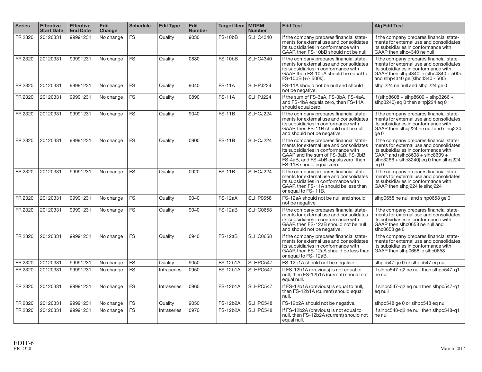| <b>Series</b> | <b>Effective</b><br><b>Start Date</b> | <b>Effective</b><br><b>End Date</b> | <b>Edit</b><br>Change | <b>Schedule</b> | <b>Edit Type</b> | <b>Edit</b><br><b>Number</b> | <b>Target Item   MDRM</b> | <b>Number</b>   | <b>Edit Test</b>                                                                                                                                                                                                                        | <b>Alg Edit Test</b>                                                                                                                                                                                                             |
|---------------|---------------------------------------|-------------------------------------|-----------------------|-----------------|------------------|------------------------------|---------------------------|-----------------|-----------------------------------------------------------------------------------------------------------------------------------------------------------------------------------------------------------------------------------------|----------------------------------------------------------------------------------------------------------------------------------------------------------------------------------------------------------------------------------|
| FR 2320       | 20120331                              | 99991231                            | No change             | <b>FS</b>       | Quality          | 9030                         | <b>FS-10bB</b>            | <b>SLHC4340</b> | If the company prepares financial state-<br>ments for external use and consolidates<br>its subsidiaries in conformance with<br>GAAP, then FS-10bB should not be null.                                                                   | if the company prepares financial state-<br>ments for external use and consolidates<br>its subsidiaries in conformance with<br>GAAP then slhc4340 ne null                                                                        |
| FR 2320       | 20120331                              | 99991231                            | No change             | <b>FS</b>       | Quality          | 0880                         | <b>FS-10bB</b>            | <b>SLHC4340</b> | If the company prepares financial state-<br>ments for external use and consolidates<br>its subsidiaries in conformance with<br>GAAP then FS-10bA should be equal to<br>FS-10bB (+/- 500k).                                              | if the company prepares financial state-<br>ments for external use and consolidates<br>its subsidiaries in conformance with<br>GAAP then slhp4340 le $ \text{shc4340} + 500\rangle$<br>and slhp4340 ge (slhc4340 - 500)          |
| FR 2320       | 20120331                              | 99991231                            | No change             | <b>FS</b>       | Quality          | 9040                         | <b>FS-11A</b>             | SLHPJ224        | FS-11A should not be null and should<br>not be negative.                                                                                                                                                                                | slhpj224 ne null and slhpj224 ge 0                                                                                                                                                                                               |
| FR 2320       | 20120331                              | 99991231                            | No change             | <b>FS</b>       | Quality          | 0890                         | <b>FS-11A</b>             | SLHPJ224        | If the sum of FS-3aA, FS-3bA, FS-4aA,<br>and FS-4bA equals zero, then FS-11A<br>should equal zero.                                                                                                                                      | if (slhp8608 + slhp8609 + slhp3266 +<br>slhp3240) eg 0 then slhpj224 eg 0                                                                                                                                                        |
| FR 2320       | 20120331                              | 99991231                            | No change             | <b>FS</b>       | Quality          | 9040                         | <b>FS-11B</b>             | SLHCJ224        | If the company prepares financial state-<br>ments for external use and consolidates<br>its subsidiaries in conformance with<br>GAAP, then FS-11B should not be null<br>and should not be negative.                                      | if the company prepares financial state-<br>ments for external use and consolidates<br>its subsidiaries in conformance with<br>GAAP then slhcj224 ne null and slhcj224<br>ge 0                                                   |
| FR 2320       | 20120331                              | 99991231                            | No change             | <b>FS</b>       | Quality          | 0900                         | <b>FS-11B</b>             | SLHCJ224        | If the company prepares financial state-<br>ments for external use and consolidates<br>its subsidiaries in conformance with<br>GAAP and the sum of FS-3aB. FS-3bB.<br>FS-4aB, and FS-4bB equals zero, then<br>FS-11B should equal zero. | if the company prepares financial state-<br>ments for external use and consolidates<br>its subsidiaries in conformance with<br>GAAP and (slhc8608 + slhc8609 +<br>$shc3266 + shc3240$ ) eq 0 then slhci $224$<br>eg <sub>0</sub> |
| FR 2320       | 20120331                              | 99991231                            | No change             | <b>FS</b>       | Quality          | 0920                         | <b>FS-11B</b>             | SLHCJ224        | If the company prepares financial state-<br>ments for external use and consolidates<br>its subsidiaries in conformance with<br>GAAP, then FS-11A should be less than<br>or equal to FS-11B.                                             | if the company prepares financial state-<br>ments for external use and consolidates<br>its subsidiaries in conformance with<br>GAAP then slhpj224 le slhcj224                                                                    |
| FR 2320       | 20120331                              | 99991231                            | No change             | <b>FS</b>       | Quality          | 9040                         | FS-12aA                   | <b>SLHP0658</b> | FS-12aA should not be null and should<br>not be negative.                                                                                                                                                                               | slhp0658 ne null and slhp0658 ge 0                                                                                                                                                                                               |
| FR 2320       | 20120331                              | 99991231                            | No change             | <b>FS</b>       | Quality          | 9040                         | FS-12aB                   | <b>SLHC0658</b> | If the company prepares financial state-<br>ments for external use and consolidates<br>its subsidiaries in conformance with<br>GAAP, then FS-12aB should not be null<br>and should not be negative.                                     | if the company prepares financial state-<br>ments for external use and consolidates<br>its subsidiaries in conformance with<br>GAAP then slhc0658 ne null and<br>slhc0658 ge 0                                                   |
| FR 2320       | 20120331                              | 99991231                            | No change             | <b>FS</b>       | Quality          | 0940                         | FS-12aB                   | <b>SLHC0658</b> | If the company prepares financial state-<br>ments for external use and consolidates<br>its subsidiaries in conformance with<br>GAAP, then FS-12aA should be less than<br>or equal to FS-12aB.                                           | if the company prepares financial state-<br>ments for external use and consolidates<br>its subsidiaries in conformance with<br>GAAP then slhp0658 le slhc0658                                                                    |
| FR 2320       | 20120331                              | 99991231                            | No change             | <b>FS</b>       | Quality          | 9050                         | <b>FS-12b1A</b>           | SLHPC547        | FS-12b1A should not be negative.                                                                                                                                                                                                        | slhpc547 ge 0 or slhpc547 eq null                                                                                                                                                                                                |
| FR 2320       | 20120331                              | 99991231                            | No change             | <b>FS</b>       | Intraseries      | 0950                         | <b>FS-12b1A</b>           | SLHPC547        | If FS-12b1A (previous) is not equal to<br>null, then FS-12b1A (current) should not<br>equal null.                                                                                                                                       | if slhpc547-q2 ne null then slhpc547-q1<br>ne null                                                                                                                                                                               |
| FR 2320       | 20120331                              | 99991231                            | No change             | <b>FS</b>       | Intraseries      | 0960                         | <b>FS-12b1A</b>           | SLHPC547        | If FS-12b1A (previous) is equal to null,<br>then FS-12b1A (current) should equal<br>null.                                                                                                                                               | if slhpc547-q2 eq null then slhpc547-q1<br>eg null                                                                                                                                                                               |
| FR 2320       | 20120331                              | 99991231                            | No change             | <b>FS</b>       | Quality          | 9050                         | <b>FS-12b2A</b>           | SLHPC548        | FS-12b2A should not be negative.                                                                                                                                                                                                        | slhpc548 ge 0 or slhpc548 eg null                                                                                                                                                                                                |
| FR 2320       | 20120331                              | 99991231                            | No change             | <b>FS</b>       | Intraseries      | 0970                         | <b>FS-12b2A</b>           | SLHPC548        | If FS-12b2A (previous) is not equal to<br>null, then FS-12b2A (current) should not<br>equal null.                                                                                                                                       | if slhpc548-q2 ne null then slhpc548-q1<br>ne null                                                                                                                                                                               |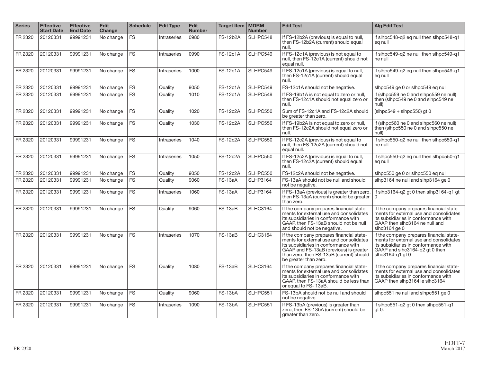| <b>Series</b> | <b>Effective</b><br><b>Start Date</b> | <b>Effective</b><br><b>End Date</b> | <b>Edit</b><br><b>Change</b> | <b>Schedule</b> | <b>Edit Type</b>   | <b>Edit</b><br><b>Number</b> | <b>Target Item   MDRM</b> | <b>Number</b>   | <b>Edit Test</b>                                                                                                                                                                                                                           | <b>Alg Edit Test</b>                                                                                                                                                              |
|---------------|---------------------------------------|-------------------------------------|------------------------------|-----------------|--------------------|------------------------------|---------------------------|-----------------|--------------------------------------------------------------------------------------------------------------------------------------------------------------------------------------------------------------------------------------------|-----------------------------------------------------------------------------------------------------------------------------------------------------------------------------------|
| FR 2320       | 20120331                              | 99991231                            | No change                    | <b>FS</b>       | Intraseries        | 0980                         | <b>FS-12b2A</b>           | SLHPC548        | If FS-12b2A (previous) is equal to null,<br>then FS-12b2A (current) should equal<br>null.                                                                                                                                                  | if slhpc548-q2 eq null then slhpc548-q1<br>eg null                                                                                                                                |
| FR 2320       | 20120331                              | 99991231                            | No change                    | <b>FS</b>       | Intraseries        | 0990                         | <b>FS-12c1A</b>           | SLHPC549        | If FS-12c1A (previous) is not equal to<br>null, then FS-12c1A (current) should not<br>equal null.                                                                                                                                          | if slhpc549-q2 ne null then slhpc549-q1<br>ne null                                                                                                                                |
| FR 2320       | 20120331                              | 99991231                            | No change                    | <b>FS</b>       | Intraseries        | 1000                         | <b>FS-12c1A</b>           | SLHPC549        | If FS-12c1A (previous) is equal to null,<br>then FS-12c1A (current) should equal<br>null.                                                                                                                                                  | if slhpc549-q2 eq null then slhpc549-q1<br>eg null                                                                                                                                |
| FR 2320       | 20120331                              | 99991231                            | No change                    | FS              | Quality            | 9050                         | <b>FS-12c1A</b>           | SLHPC549        | FS-12c1A should not be negative.                                                                                                                                                                                                           | slhpc549 ge 0 or slhpc549 eq null                                                                                                                                                 |
| FR 2320       | 20120331                              | 99991231                            | No change                    | <b>FS</b>       | Quality            | 1010                         | <b>FS-12c1A</b>           | SLHPC549        | If FS-19b1A is not equal to zero or null,<br>then FS-12c1A should not equal zero or<br>null.                                                                                                                                               | if (slhpc559 ne 0 and slhpc559 ne null)<br>then (slhpc549 ne 0 and slhpc549 ne<br>null)                                                                                           |
| FR 2320       | 20120331                              | 99991231                            | No change                    | <b>FS</b>       | Quality            | 1020                         | <b>FS-12c2A</b>           | SLHPC550        | Sum of FS-12c1A and FS-12c2A should<br>be greater than zero.                                                                                                                                                                               | $(\text{slhpc}549 + \text{slhpc}550)$ gt 0                                                                                                                                        |
| FR 2320       | 20120331                              | 99991231                            | No change                    | <b>FS</b>       | Quality            | 1030                         | <b>FS-12c2A</b>           | SLHPC550        | If FS-19b2A is not equal to zero or null,<br>then FS-12c2A should not equal zero or<br>null.                                                                                                                                               | if (slhpc560 ne 0 and slhpc560 ne null)<br>then (slhpc550 ne 0 and slhpc550 ne<br>null)                                                                                           |
| FR 2320       | 20120331                              | 99991231                            | No change                    | <b>FS</b>       | Intraseries        | 1040                         | <b>FS-12c2A</b>           | SLHPC550        | If FS-12c2A (previous) is not equal to<br>null, then FS-12c2A (current) should not<br>equal null.                                                                                                                                          | if slhpc550-q2 ne null then slhpc550-q1<br>ne null                                                                                                                                |
| FR 2320       | 20120331                              | 99991231                            | No change                    | <b>FS</b>       | <b>Intraseries</b> | 1050                         | <b>FS-12c2A</b>           | SLHPC550        | If FS-12c2A (previous) is equal to null,<br>then FS-12c2A (current) should equal<br>null.                                                                                                                                                  | if slhpc550-q2 eq null then slhpc550-q1<br>eg null                                                                                                                                |
| FR 2320       | 20120331                              | 99991231                            | No change                    | <b>FS</b>       | Quality            | 9050                         | <b>FS-12c2A</b>           | SLHPC550        | FS-12c2A should not be negative.                                                                                                                                                                                                           | slhpc550 ge 0 or slhpc550 eq null                                                                                                                                                 |
| FR 2320       | 20120331                              | 99991231                            | No change                    | <b>FS</b>       | Quality            | 9060                         | FS-13aA                   | <b>SLHP3164</b> | FS-13aA should not be null and should<br>not be negative.                                                                                                                                                                                  | slhp3164 ne null and slhp3164 ge 0                                                                                                                                                |
| FR 2320       | 20120331                              | 99991231                            | No change                    | <b>FS</b>       | Intraseries        | 1060                         | FS-13aA                   | <b>SLHP3164</b> | If FS-13aA (previous) is greater than zero,<br>then FS-13aA (current) should be greater<br>than zero.                                                                                                                                      | if slhp3164-q2 gt 0 then slhp3164-q1 gt<br>0                                                                                                                                      |
| FR 2320       | 20120331                              | 99991231                            | No change                    | <b>FS</b>       | Quality            | 9060                         | FS-13aB                   | <b>SLHC3164</b> | If the company prepares financial state-<br>ments for external use and consolidates<br>its subsidiaries in conformance with<br>GAAP, then FS-13aB should not be null<br>and should not be negative.                                        | if the company prepares financial state-<br>ments for external use and consolidates<br>its subsidiaries in conformance with<br>GAAP then slhc3164 ne null and<br>$shc3164$ ge $0$ |
| FR 2320       | 20120331                              | 99991231                            | No change                    | <b>FS</b>       | Intraseries        | 1070                         | FS-13aB                   | <b>SLHC3164</b> | If the company prepares financial state-<br>ments for external use and consolidates<br>its subsidiaries in conformance with<br>GAAP and FS-13aB (previous) is greater<br>than zero, then FS-13aB (current) should<br>be greater than zero. | if the company prepares financial state-<br>ments for external use and consolidates<br>its subsidiaries in conformance with<br>GAAP and slhc3164-q2 gt 0 then<br>slhc3164-q1 gt 0 |
| FR 2320       | 20120331                              | 99991231                            | No change                    | <b>FS</b>       | Quality            | 1080                         | $FS-13aB$                 | <b>SLHC3164</b> | If the company prepares financial state-<br>ments for external use and consolidates<br>its subsidiaries in conformance with<br>GAAP, then FS-13aA should be less than<br>or equal to FS-13aB.                                              | if the company prepares financial state-<br>ments for external use and consolidates<br>its subsidiaries in conformance with<br>GAAP then slhp3164 le slhc3164                     |
| FR 2320       | 20120331                              | 99991231                            | No change                    | <b>FS</b>       | Quality            | 9060                         | FS-13bA                   | SLHPC551        | FS-13bA should not be null and should<br>not be negative.                                                                                                                                                                                  | slhpc551 ne null and slhpc551 ge 0                                                                                                                                                |
| FR 2320       | 20120331                              | 99991231                            | No change                    | <b>FS</b>       | Intraseries        | 1090                         | FS-13bA                   | SLHPC551        | If FS-13bA (previous) is greater than<br>zero, then FS-13bA (current) should be<br>greater than zero.                                                                                                                                      | if slhpc551-q2 qt 0 then slhpc551-q1<br>$gt 0$ .                                                                                                                                  |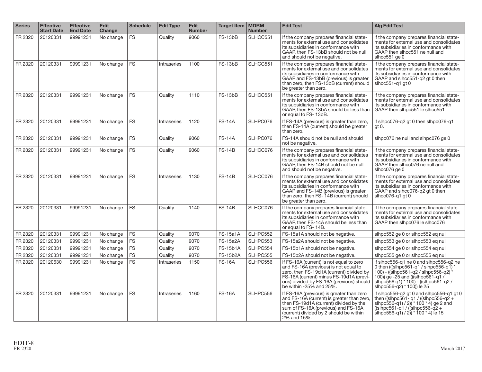| <b>Series</b> | <b>Effective</b><br><b>Start Date</b> | <b>Effective</b><br><b>End Date</b> | <b>Edit</b><br><b>Change</b> | <b>Schedule</b> | <b>Edit Type</b> | <b>Edit</b><br><b>Number</b> | Target Item   MDRM | <b>Number</b> | <b>Edit Test</b>                                                                                                                                                                                                                                | <b>Alg Edit Test</b>                                                                                                                                                                                                                 |
|---------------|---------------------------------------|-------------------------------------|------------------------------|-----------------|------------------|------------------------------|--------------------|---------------|-------------------------------------------------------------------------------------------------------------------------------------------------------------------------------------------------------------------------------------------------|--------------------------------------------------------------------------------------------------------------------------------------------------------------------------------------------------------------------------------------|
| FR 2320       | 20120331                              | 99991231                            | No change                    | <b>FS</b>       | Quality          | 9060                         | FS-13bB            | SLHCC551      | If the company prepares financial state-<br>ments for external use and consolidates<br>its subsidiaries in conformance with<br>GAAP, then FS-13bB should not be null<br>and should not be negative.                                             | if the company prepares financial state-<br>ments for external use and consolidates<br>its subsidiaries in conformance with<br>GAAP then slhcc551 ne null and<br>slhcc $551$ ge $0$                                                  |
| FR 2320       | 20120331                              | 99991231                            | No change                    | <b>FS</b>       | Intraseries      | 1100                         | FS-13bB            | SLHCC551      | If the company prepares financial state-<br>ments for external use and consolidates<br>its subsidiaries in conformance with<br>GAAP and FS-13bB (previous) is greater<br>than zero, then FS-13bB (current) should<br>be greater than zero.      | if the company prepares financial state-<br>ments for external use and consolidates<br>its subsidiaries in conformance with<br>GAAP and slhcc551-q2 gt 0 then<br>slhcc $551-q1$ qt 0                                                 |
| FR 2320       | 20120331                              | 99991231                            | No change                    | <b>FS</b>       | Quality          | 1110                         | FS-13bB            | SLHCC551      | If the company prepares financial state-<br>ments for external use and consolidates<br>its subsidiaries in conformance with<br>GAAP, then FS-13bA should be less than<br>or equal to FS-13bB.                                                   | if the company prepares financial state-<br>ments for external use and consolidates<br>its subsidiaries in conformance with<br>GAAP then slhpc551 le slhcc551                                                                        |
| FR 2320       | 20120331                              | 99991231                            | No change                    | <b>FS</b>       | Intraseries      | 1120                         | <b>FS-14A</b>      | SLHPC076      | If FS-14A (previous) is greater than zero,<br>then FS-14A (current) should be greater<br>than zero.                                                                                                                                             | if slhpc076-g2 gt 0 then slhpc076-g1<br>qt 0.                                                                                                                                                                                        |
| FR 2320       | 20120331                              | 99991231                            | No change                    | <b>FS</b>       | Quality          | 9060                         | <b>FS-14A</b>      | SLHPC076      | FS-14A should not be null and should<br>not be negative.                                                                                                                                                                                        | slhpc076 ne null and slhpc076 ge 0                                                                                                                                                                                                   |
| FR 2320       | 20120331                              | 99991231                            | No change                    | <b>FS</b>       | Quality          | 9060                         | <b>FS-14B</b>      | SLHCC076      | If the company prepares financial state-<br>ments for external use and consolidates<br>its subsidiaries in conformance with<br>GAAP, then FS-14B should not be null<br>and should not be negative.                                              | if the company prepares financial state-<br>ments for external use and consolidates<br>its subsidiaries in conformance with<br>GAAP then slhcc076 ne null and<br>slhcc076 ge 0                                                       |
| FR 2320       | 20120331                              | 99991231                            | No change                    | <b>FS</b>       | Intraseries      | 1130                         | <b>FS-14B</b>      | SLHCC076      | If the company prepares financial state-<br>ments for external use and consolidates<br>its subsidiaries in conformance with<br>GAAP and FS-14B (previous) is greater<br>than zero, then FS- 14B (current) should<br>be greater than zero.       | if the company prepares financial state-<br>ments for external use and consolidates<br>its subsidiaries in conformance with<br>GAAP and slhcc076-q2 qt 0 then<br>slhcc076-g1 gt 0                                                    |
| FR 2320       | 20120331                              | 99991231                            | No change                    | <b>FS</b>       | Quality          | 1140                         | <b>FS-14B</b>      | SLHCC076      | If the company prepares financial state-<br>ments for external use and consolidates<br>its subsidiaries in conformance with<br>GAAP, then FS-14A should be less than<br>or equal to FS-14B.                                                     | if the company prepares financial state-<br>ments for external use and consolidates<br>its subsidiaries in conformance with<br>GAAP then slhpc076 le slhcc076                                                                        |
| FR 2320       | 20120331                              | 99991231                            | No change                    | <b>FS</b>       | Quality          | 9070                         | <b>FS-15a1A</b>    | SLHPC552      | FS-15a1A should not be negative.                                                                                                                                                                                                                | slhpc552 ge 0 or slhpc552 eg null                                                                                                                                                                                                    |
| FR 2320       | 20120331                              | 99991231                            | No change                    | <b>FS</b>       | Quality          | 9070                         | <b>FS-15a2A</b>    | SLHPC553      | FS-15a2A should not be negative.                                                                                                                                                                                                                | slhpc553 ge 0 or slhpc553 eq null                                                                                                                                                                                                    |
| FR 2320       | 20120331                              | 99991231                            | No change                    | <b>FS</b>       | Quality          | 9070                         | <b>FS-15b1A</b>    | SLHPC554      | FS-15b1A should not be negative.                                                                                                                                                                                                                | slhpc554 ge 0 or slhpc554 eg null                                                                                                                                                                                                    |
| FR 2320       | 20120331                              | 99991231                            | No change                    | <b>FS</b>       | Quality          | 9070                         | <b>FS-15b2A</b>    | SLHPC555      | FS-15b2A should not be negative.                                                                                                                                                                                                                | slhpc555 ge 0 or slhpc555 eg null                                                                                                                                                                                                    |
| FR 2320       | 20120630                              | 99991231                            | No change                    | <b>FS</b>       | Intraseries      | 1150                         | <b>FS-16A</b>      | SLHPC556      | If FS-16A (current) is not equal to zero<br>and FS-16A (previous) is not equal to<br>zero, then FS-19d1A (current) divided by<br>FS-16A (current) minus FS-19d1A (previ-<br>ous) divided by FS-16A (previous) should<br>be within -25% and 25%. | if slhpc556-g1 ne 0 and slhpc556-g2 ne<br>0 then (((slhpc561-q1 / slhpc556-q1) $*$<br>100) - ((slhpc561-q2 / slhpc556-q2)<br>100) ge-25 and (((slhpc561-g1/<br>  slhpc556 q1) * 100) - ((slhpc561-q2 /<br>slhpc556-q2) * 100)) le 25 |
| FR 2320       | 20120331                              | 99991231                            | No change                    | <b>FS</b>       | Intraseries      | 1160                         | <b>FS-16A</b>      | SLHPC556      | If FS-16A (previous) is greater than zero<br>and FS-16A (current) is greater than zero.<br>then FS-19d1A (current) divided by the<br>sum of FS-16A (previous) and FS-16A<br>(current) divided by 2 should be within<br>2% and 15%.              | if slhpc556-q2 gt 0 and slhpc556-q1 gt 0<br>then ((slhpc561- g1 / ((slhpc556-g2 +)<br>slhpc556-q1) $/$ 2)) $*$ 100 $*$ 4) ge 2 and<br>$((\text{slhpc561-q1})/(\text{slhpc556-q2} +$<br>slhpc556-q1) / 2)) * 100 * 4) le 15           |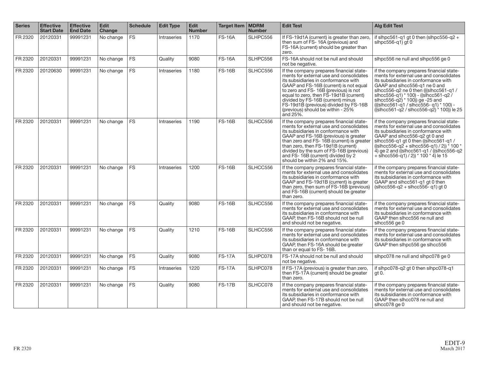| <b>Series</b> | <b>Effective</b><br><b>Start Date</b> | <b>Effective</b><br><b>End Date</b> | <b>Edit</b><br>Change | <b>Schedule</b> | <b>Edit Type</b> | <b>Edit</b><br><b>Number</b> | Target Item   MDRM | <b>Number</b> | <b>Edit Test</b>                                                                                                                                                                                                                                                                                                                                                                         | <b>Alg Edit Test</b>                                                                                                                                                                                                                                                                                                                                                                      |
|---------------|---------------------------------------|-------------------------------------|-----------------------|-----------------|------------------|------------------------------|--------------------|---------------|------------------------------------------------------------------------------------------------------------------------------------------------------------------------------------------------------------------------------------------------------------------------------------------------------------------------------------------------------------------------------------------|-------------------------------------------------------------------------------------------------------------------------------------------------------------------------------------------------------------------------------------------------------------------------------------------------------------------------------------------------------------------------------------------|
| FR 2320       | 20120331                              | 99991231                            | No change             | <b>FS</b>       | Intraseries      | 1170                         | <b>FS-16A</b>      | SLHPC556      | If FS-19d1A (current) is greater than zero<br>then sum of FS-16A (previous) and<br>FS-16A (current) should be greater than<br>zero.                                                                                                                                                                                                                                                      | if slhpc561-q1 qt 0 then (slhpc556-q2 +<br>slhpc $556 - q1$ ) qt 0                                                                                                                                                                                                                                                                                                                        |
| FR 2320       | 20120331                              | 99991231                            | No change             | <b>FS</b>       | Quality          | 9080                         | <b>FS-16A</b>      | SLHPC556      | FS-16A should not be null and should<br>not be negative.                                                                                                                                                                                                                                                                                                                                 | slhpc556 ne null and slhpc556 ge 0                                                                                                                                                                                                                                                                                                                                                        |
| FR 2320       | 20120630                              | 99991231                            | No change             | <b>FS</b>       | Intraseries      | 1180                         | <b>FS-16B</b>      | SLHCC556      | If the company prepares financial state-<br>ments for external use and consolidates<br>its subsidiaries in conformance with<br>GAAP and FS-16B (current) is not equal<br>to zero and FS-16B (previous) is not<br>equal to zero, then FS-19d1B (current)<br>divided by FS-16B (current) minus<br>FS-19d1B (previous) divided by FS-16B<br>(previous) should be within - $25%$<br>and 25%. | if the company prepares financial state-<br>ments for external use and consolidates<br>its subsidiaries in conformance with<br>GAAP and slhcc556-q1 ne 0 and<br>slhcc556-q2 ne 0 then (((slhcc561-q1 /<br>slhcc556-q1) * 100) - ((slhcc561-q2)<br>slhcc556-q2) * 100) ge -25 and<br>(((slhcc561-q1 / slncc556- q1) * 100) -<br>$((\text{slhcc561-q2} / \text{slhcc556-q2})$ * 100)) le 25 |
| FR 2320       | 20120331                              | 99991231                            | No change             | <b>FS</b>       | Intraseries      | 1190                         | <b>FS-16B</b>      | SLHCC556      | If the company prepares financial state-<br>ments for external use and consolidates<br>its subsidiaries in conformance with<br>GAAP and FS-16B (previous) is greater<br>than zero and FS-16B (current) is greater<br>than zero, then FS-19d1B (current)<br>divided by the sum of FS-16B (previous)<br>and FS-16B (current) divided by 2<br>should be within 2% and 15%.                  | if the company prepares financial state-<br>ments for external use and consolidates<br>its subsidiaries in conformance with<br>GAAP and slhcc556-q2 qt 0 and<br>slhcc556-q1 gt 0 then ((slhcc561-q1 /<br>$((\text{shcc556-q2} + \text{shcc56-q1})/2))^*100*$<br>$4)$ ge 2 and ((slhcc561-q1 / ((slhcc556-q2)<br>+ $\sin(c556-\frac{1}{9}))/2$ ) * 100 * 4) le 15                          |
| FR 2320       | 20120331                              | 99991231                            | No change             | <b>FS</b>       | Intraseries      | 1200                         | <b>FS-16B</b>      | SLHCC556      | If the company prepares financial state-<br>ments for external use and consolidates<br>its subsidiaries in conformance with<br>GAAP and FS-19d1B (current) is greater<br>than zero, then sum of FS-16B (previous)<br>and FS-16B (current) should be greater<br>than zero.                                                                                                                | if the company prepares financial state-<br>ments for external use and consolidates<br>its subsidiaries in conformance with<br>GAAP and slhcc561-g1 gt 0 then<br>$(s/hcc556-q2 + shcc556-q1)$ gt 0                                                                                                                                                                                        |
| FR 2320       | 20120331                              | 99991231                            | No change             | <b>FS</b>       | Quality          | 9080                         | <b>FS-16B</b>      | SLHCC556      | If the company prepares financial state-<br>ments for external use and consolidates<br>its subsidiaries in conformance with<br>GAAP, then FS-16B should not be null<br>and should not be negative.                                                                                                                                                                                       | if the company prepares financial state-<br>ments for external use and consolidates<br>its subsidiaries in conformance with<br>GAAP then slhcc556 ne null and<br>slhcc $556$ ge $0$                                                                                                                                                                                                       |
| FR 2320       | 20120331                              | 99991231                            | No change             | <b>FS</b>       | Quality          | 1210                         | <b>FS-16B</b>      | SLHCC556      | If the company prepares financial state-<br>ments for external use and consolidates<br>its subsidiaries in conformance with<br>GAAP, then FS-16A should be greater<br>than or equal to FS-16B.                                                                                                                                                                                           | if the company prepares financial state-<br>ments for external use and consolidates<br>its subsidiaries in conformance with<br>GAAP then slhpc556 ge slhcc556                                                                                                                                                                                                                             |
| FR 2320       | 20120331                              | 99991231                            | No change             | <b>FS</b>       | Quality          | 9080                         | <b>FS-17A</b>      | SLHPC078      | FS-17A should not be null and should<br>not be negative.                                                                                                                                                                                                                                                                                                                                 | slhpc078 ne null and slhpc078 ge 0                                                                                                                                                                                                                                                                                                                                                        |
| FR 2320       | 20120331                              | 99991231                            | No change             | <b>FS</b>       | Intraseries      | 1220                         | <b>FS-17A</b>      | SLHPC078      | If FS-17A (previous) is greater than zero,<br>then FS-17A (current) should be greater<br>than zero.                                                                                                                                                                                                                                                                                      | if slhpc078-g2 gt 0 then slhpc078-g1<br>gt 0.                                                                                                                                                                                                                                                                                                                                             |
| FR 2320       | 20120331                              | 99991231                            | No change             | <b>FS</b>       | Quality          | 9080                         | <b>FS-17B</b>      | SLHCC078      | If the company prepares financial state-<br>ments for external use and consolidates<br>its subsidiaries in conformance with<br>GAAP, then FS-17B should not be null<br>and should not be negative.                                                                                                                                                                                       | if the company prepares financial state-<br>ments for external use and consolidates<br>its subsidiaries in conformance with<br>GAAP then slhcc078 ne null and<br>slhcc078 ge 0                                                                                                                                                                                                            |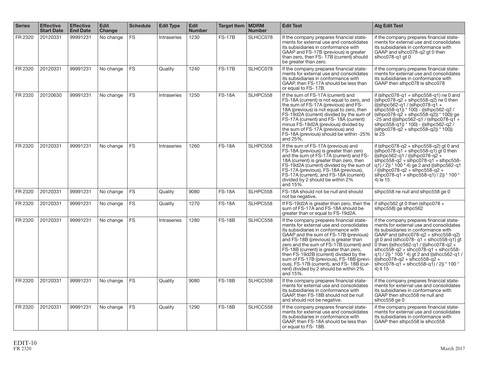| <b>Series</b> | <b>Effective</b><br><b>Start Date</b> | <b>Effective</b><br><b>End Date</b> | <b>Edit</b><br>Change | <b>Schedule</b> | <b>Edit Type</b> | <b>Edit</b><br><b>Number</b> | Target Item   MDRM | <b>Number</b> | <b>Edit Test</b>                                                                                                                                                                                                                                                                                                                                                                                                                                                                                                                           | <b>Alg Edit Test</b>                                                                                                                                                                                                                                                                                                                                                                                                                                     |
|---------------|---------------------------------------|-------------------------------------|-----------------------|-----------------|------------------|------------------------------|--------------------|---------------|--------------------------------------------------------------------------------------------------------------------------------------------------------------------------------------------------------------------------------------------------------------------------------------------------------------------------------------------------------------------------------------------------------------------------------------------------------------------------------------------------------------------------------------------|----------------------------------------------------------------------------------------------------------------------------------------------------------------------------------------------------------------------------------------------------------------------------------------------------------------------------------------------------------------------------------------------------------------------------------------------------------|
| FR 2320       | 20120331                              | 99991231                            | No change             | <b>FS</b>       | Intraseries      | 1230                         | <b>FS-17B</b>      | SLHCC078      | If the company prepares financial state-<br>ments for external use and consolidates<br>its subsidiaries in conformance with<br>GAAP and FS-17B (previous) is greater<br>than zero, then FS-17B (current) should<br>be greater than zero.                                                                                                                                                                                                                                                                                                   | if the company prepares financial state-<br>ments for external use and consolidates<br>its subsidiaries in conformance with<br>GAAP and slhcc078-q2 gt 0 then<br>slhcc078-g1 gt 0                                                                                                                                                                                                                                                                        |
| FR 2320       | 20120331                              | 99991231                            | No change             | <b>FS</b>       | Quality          | 1240                         | <b>FS-17B</b>      | SLHCC078      | If the company prepares financial state-<br>ments for external use and consolidates<br>its subsidiaries in conformance with<br>GAAP, then FS-17A should be less than<br>or equal to FS-17B.                                                                                                                                                                                                                                                                                                                                                | if the company prepares financial state-<br>ments for external use and consolidates<br>its subsidiaries in conformance with<br>GAAP then slhpc078 le slhcc078                                                                                                                                                                                                                                                                                            |
| FR 2320       | 20120630                              | 99991231                            | No change             | <b>FS</b>       | Intraseries      | 1250                         | <b>FS-18A</b>      | SLHPC558      | If the sum of FS-17A (current) and<br>FS-18A (current) is not equal to zero, and<br>the sum of FS-17A (previous) and FS-<br>18A (previous) is not equal to zero, then<br>FS-19d2A (current) divided by the sum of<br>FS-17A (current) and FS-18A (current)<br>minus FS-19d2A (previous) divided by<br>the sum of FS-17A (previous) and<br>FS-18A (previous) should be within -25%<br>and 25%.                                                                                                                                              | if (slhpc078-g1 $+$ slhpc558-g1) ne 0 and<br>$(\text{slhpc078-q2} + \text{slhpc558-q2})$ ne 0 then<br>$((\text{slhpc562-q1} / (\text{slhpc078-q1} +$<br>slhpc558-q1) $*$ 100) - ((slhpc562-q2)<br>$(\text{slhpc078-q2} + \text{slhpc558-q2})$ * 100)) ge<br>$-25$ and (((slhpc562-q1 / (slhpc078-q1 +<br>slhpc558-q1)) * 100) - ((slhpc562-q2)<br>$(\text{shpc078-q2} + \text{shpc558-q2})$ * 100)<br>le 25                                              |
| FR 2320       | 20120331                              | 99991231                            | No change             | <b>FS</b>       | Intraseries      | 1260                         | <b>FS-18A</b>      | SLHPC558      | If the sum of FS-17A (previous) and<br>FS-18A (previous) is greater than zero<br>and the sum of FS-17A (current) and FS-<br>18A (current) is greater than zero, then<br>FS-19d2A (current) divided by the sum of<br>FS-17A (previous), FS-18A (previous),<br>FS-17A (current), and FS-18A (current)<br>divided by 2 should be within 2%<br>and 15%.                                                                                                                                                                                        | if (slhpc078-g2 + slhpc558-g2) gt 0 and<br>$(\text{slhpc078-q1} + \text{slhpc558-q1})$ gt 0 then<br>$((\text{slhpc562-q1} / ((\text{slhpc078-q2} +$<br>$shpc558-q2 + shpc078-q1 + shpc558$ -<br>$(q1)/2$ ) * 100 * 4) ge 2 and ((slhpc562-q1<br>/ ((slhpc078-q2 + slhpc558-q2 +<br>slhpc078-q1 + slhpc558-q1) / 2)) * 100 *<br>4) le 15                                                                                                                  |
| FR 2320       | 20120331                              | 99991231                            | No change             | <b>FS</b>       | Quality          | 9080                         | <b>FS-18A</b>      | SLHPC558      | FS-18A should not be null and should<br>not be negative.                                                                                                                                                                                                                                                                                                                                                                                                                                                                                   | slhpc558 ne null and slhpc558 ge 0                                                                                                                                                                                                                                                                                                                                                                                                                       |
| FR 2320       | 20120331                              | 99991231                            | No change             | <b>FS</b>       | Quality          | 1270                         | <b>FS-18A</b>      | SLHPC558      | If FS-19d2A is greater than zero, then the<br>sum of FS-17A and FS-18A should be<br>greater than or equal to FS-19d2A.                                                                                                                                                                                                                                                                                                                                                                                                                     | if slhpc562 gt 0 then (slhpc078 $+$<br>slhpc558) ge slhpc562                                                                                                                                                                                                                                                                                                                                                                                             |
| FR 2320       | 20120331                              | 99991231                            | No change             | <b>FS</b>       | Intraseries      | 1280                         | <b>FS-18B</b>      | SLHCC558      | If the company prepares financial state-<br>ments for external use and consolidates<br>its subsidiaries in conformance with<br>GAAP and the sum of FS-17B (previous)<br>and FS-18B (previous) is greater than<br>zero and the sum of FS-17B (current) and $\vert$ 0 then ((slhcc562-q1 / ((slhcc078-q2 +<br>FS-18B (current) is greater than zero,<br>then FS-19d2B (current) divided by the<br>sum of FS-17B (previous), FS-18B (previ-<br>ous), FS-17B (current), and FS-18B (cur-<br>rent) divided by 2 should be within 2%<br>and 15%. | if the company prepares financial state-<br>ments for external use and consolidates<br>its subsidiaries in conformance with<br>GAAP and (slhcc $078$ -q2 + slhcc $558$ -q2)<br>$gt 0$ and (slhcc078- $q1 +$ slhcc558- $q1$ ) qt<br>$shcc558-a2 + shcc078-a1 + shcc558$ -<br>q1) / 2)) * 100 * 4) gt 2 and ((slhcc562-q1 /<br>$( \text{s}  \text{hcc} 078 - q2 + \text{s}  \text{hcc} 558 - q2 +$<br>slhcc078-q1 + slhcc558-q1) / 2)) * 100 *<br>4) It 15 |
| FR 2320       | 20120331                              | 99991231                            | No change             | <b>FS</b>       | Quality          | 9080                         | <b>FS-18B</b>      | SLHCC558      | If the company prepares financial state-<br>ments for external use and consolidates<br>its subsidiaries in conformance with<br>GAAP, then FS-18B should not be null<br>and should not be negative.                                                                                                                                                                                                                                                                                                                                         | if the company prepares financial state-<br>ments for external use and consolidates<br>its subsidiaries in conformance with<br>GAAP then slhcc558 ne null and<br>slhcc558 ge 0                                                                                                                                                                                                                                                                           |
| FR 2320       | 20120331                              | 99991231                            | No change             | <b>FS</b>       | Quality          | 1290                         | <b>FS-18B</b>      | SLHCC558      | If the company prepares financial state-<br>ments for external use and consolidates<br>its subsidiaries in conformance with<br>GAAP, then FS-18A should be less than<br>or equal to FS-18B.                                                                                                                                                                                                                                                                                                                                                | if the company prepares financial state-<br>ments for external use and consolidates<br>its subsidiaries in conformance with<br>GAAP then slhpc558 le slhcc558                                                                                                                                                                                                                                                                                            |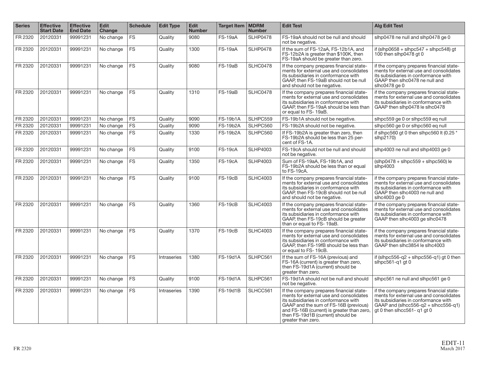| <b>Series</b> | <b>Effective</b><br><b>Start Date</b> | <b>Effective</b><br><b>End Date</b> | <b>Edit</b><br><b>Change</b> | <b>Schedule</b> | <b>Edit Type</b> | Edit<br><b>Number</b> | Target Item   MDRM | <b>Number</b>   | <b>Edit Test</b>                                                                                                                                                                                                                                                              | <b>Alg Edit Test</b>                                                                                                                                                                                     |
|---------------|---------------------------------------|-------------------------------------|------------------------------|-----------------|------------------|-----------------------|--------------------|-----------------|-------------------------------------------------------------------------------------------------------------------------------------------------------------------------------------------------------------------------------------------------------------------------------|----------------------------------------------------------------------------------------------------------------------------------------------------------------------------------------------------------|
| FR 2320       | 20120331                              | 99991231                            | No change                    | <b>FS</b>       | Quality          | 9080                  | FS-19aA            | <b>SLHP0478</b> | FS-19aA should not be null and should<br>not be negative.                                                                                                                                                                                                                     | slhp0478 ne null and slhp0478 ge 0                                                                                                                                                                       |
| FR 2320       | 20120331                              | 99991231                            | No change                    | <b>FS</b>       | Quality          | 1300                  | FS-19aA            | <b>SLHP0478</b> | If the sum of FS-12aA, FS-12b1A, and<br>FS-12b2A is greater than \$100K, then<br>FS-19aA should be greater than zero.                                                                                                                                                         | if (slhp0658 + slhpc547 + slhpc548) at<br>100 then slhp $0478$ at 0                                                                                                                                      |
| FR 2320       | 20120331                              | 99991231                            | No change                    | <b>FS</b>       | Quality          | 9080                  | <b>FS-19aB</b>     | <b>SLHC0478</b> | If the company prepares financial state-<br>ments for external use and consolidates<br>its subsidiaries in conformance with<br>GAAP, then FS-19aB should not be null<br>and should not be negative.                                                                           | if the company prepares financial state-<br>ments for external use and consolidates<br>its subsidiaries in conformance with<br>GAAP then slhc0478 ne null and<br>slhc $0478$ ge $0$                      |
| FR 2320       | 20120331                              | 99991231                            | No change                    | <b>FS</b>       | Quality          | 1310                  | FS-19aB            | <b>SLHC0478</b> | If the company prepares financial state-<br>ments for external use and consolidates<br>its subsidiaries in conformance with<br>GAAP, then FS-19aA should be less than<br>or equal to FS-19aB.                                                                                 | if the company prepares financial state-<br>ments for external use and consolidates<br>its subsidiaries in conformance with<br>GAAP then slhp0478 le slhc0478                                            |
| FR 2320       | 20120331                              | 99991231                            | No change                    | <b>FS</b>       | Quality          | 9090                  | <b>FS-19b1A</b>    | SLHPC559        | FS-19b1A should not be negative.                                                                                                                                                                                                                                              | slhpc559 ge 0 or slhpc559 eq null                                                                                                                                                                        |
| FR 2320       | 20120331                              | 99991231                            | No change                    | <b>FS</b>       | Quality          | 9090                  | <b>FS-19b2A</b>    | SLHPC560        | FS-19b2A should not be negative.                                                                                                                                                                                                                                              | slhpc560 ge 0 or slhpc560 eq null                                                                                                                                                                        |
| FR 2320       | 20120331                              | 99991231                            | No change                    | FS              | Quality          | 1330                  | <b>FS-19b2A</b>    | SLHPC560        | If FS-19b2A is greater than zero, then<br>FS-19b2A should be less than 25 per-<br>cent of FS-1A.                                                                                                                                                                              | if slhpc560 gt 0 then slhpc560 lt (0.25 *<br>slhp2170)                                                                                                                                                   |
| FR 2320       | 20120331                              | 99991231                            | No change                    | <b>FS</b>       | Quality          | 9100                  | <b>FS-19cA</b>     | <b>SLHP4003</b> | FS-19cA should not be null and should<br>not be negative.                                                                                                                                                                                                                     | slhp4003 ne null and slhp4003 ge 0                                                                                                                                                                       |
| FR 2320       | 20120331                              | 99991231                            | No change                    | <b>FS</b>       | Quality          | 1350                  | <b>FS-19cA</b>     | <b>SLHP4003</b> | Sum of FS-19aA, FS-19b1A, and<br>FS-19b2A should be less than or equal<br>to FS-19cA.                                                                                                                                                                                         | $(\text{slhp}0478 + \text{slhpc}559 + \text{slhpc}560)$ le<br>$sl$ hp $4003$                                                                                                                             |
| FR 2320       | 20120331                              | 99991231                            | No change                    | <b>FS</b>       | Quality          | 9100                  | $FS-19cB$          | <b>SLHC4003</b> | If the company prepares financial state-<br>ments for external use and consolidates<br>its subsidiaries in conformance with<br>GAAP, then FS-19cB should not be null<br>and should not be negative.                                                                           | if the company prepares financial state-<br>ments for external use and consolidates<br>its subsidiaries in conformance with<br>GAAP then slhc4003 ne null and<br>slhc4003 ge 0                           |
| FR 2320       | 20120331                              | 99991231                            | No change                    | <b>FS</b>       | Quality          | 1360                  | FS-19cB            | <b>SLHC4003</b> | If the company prepares financial state-<br>ments for external use and consolidates<br>its subsidiaries in conformance with<br>GAAP, then FS-19cB should be greater<br>than or equal to FS-19aB.                                                                              | if the company prepares financial state-<br>ments for external use and consolidates<br>its subsidiaries in conformance with<br>GAAP then slhc4003 ge slhc0478                                            |
| FR 2320       | 20120331                              | 99991231                            | No change                    | <b>FS</b>       | Quality          | 1370                  | <b>FS-19cB</b>     | <b>SLHC4003</b> | If the company prepares financial state-<br>ments for external use and consolidates<br>its subsidiaries in conformance with<br>GAAP, then FS-19fB should be less than<br>or equal to FS-19cB.                                                                                 | if the company prepares financial state-<br>ments for external use and consolidates<br>its subsidiaries in conformance with<br>GAAP then slhc3854 le slhc4003                                            |
| FR 2320       | 20120331                              | 99991231                            | No change                    | <b>FS</b>       | Intraseries      | 1380                  | <b>FS-19d1A</b>    | SLHPC561        | If the sum of FS-16A (previous) and<br>FS-16A (current) is greater than zero,<br>then FS-19d1A (current) should be<br>greater than zero.                                                                                                                                      | if (slhpc556-q2 + slhpc556-q1) gt 0 then<br>slhpc561-g1 gt 0                                                                                                                                             |
| FR 2320       | 20120331                              | 99991231                            | No change                    | <b>FS</b>       | Quality          | 9100                  | <b>FS-19d1A</b>    | SLHPC561        | FS-19d1A should not be null and should<br>not be negative.                                                                                                                                                                                                                    | slhpc561 ne null and slhpc561 ge 0                                                                                                                                                                       |
| FR 2320       | 20120331                              | 99991231                            | No change                    | <b>FS</b>       | Intraseries      | 1390                  | <b>FS-19d1B</b>    | SLHCC561        | If the company prepares financial state-<br>ments for external use and consolidates<br>its subsidiaries in conformance with<br>GAAP and the sum of FS-16B (previous)<br>and FS-16B (current) is greater than zero,<br>then FS-19d1B (current) should be<br>greater than zero. | if the company prepares financial state-<br>ments for external use and consolidates<br>its subsidiaries in conformance with<br>GAAP and (slhcc $556-q2 +$ slhcc $556-q1$ )<br>gt 0 then slhcc561-q1 gt 0 |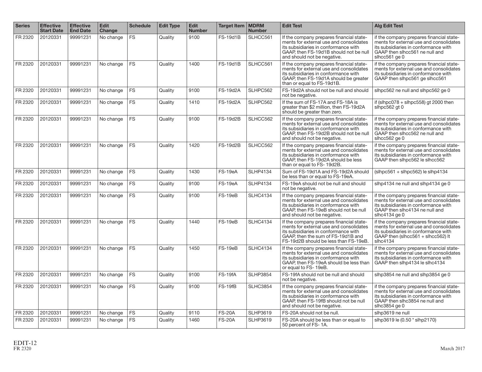| <b>Series</b> | <b>Effective</b><br><b>Start Date</b> | <b>Effective</b><br><b>End Date</b> | <b>Edit</b><br>Change | <b>Schedule</b> | <b>Edit Type</b> | <b>Edit</b><br><b>Number</b> | <b>Target Item</b> | <b>MDRM</b><br><b>Number</b> | <b>Edit Test</b>                                                                                                                                                                                           | <b>Alg Edit Test</b>                                                                                                                                                                 |
|---------------|---------------------------------------|-------------------------------------|-----------------------|-----------------|------------------|------------------------------|--------------------|------------------------------|------------------------------------------------------------------------------------------------------------------------------------------------------------------------------------------------------------|--------------------------------------------------------------------------------------------------------------------------------------------------------------------------------------|
| FR 2320       | 20120331                              | 99991231                            | No change             | <b>FS</b>       | Quality          | 9100                         | <b>FS-19d1B</b>    | SLHCC561                     | If the company prepares financial state-<br>ments for external use and consolidates<br>its subsidiaries in conformance with<br>GAAP, then FS-19d1B should not be null<br>and should not be negative.       | if the company prepares financial state-<br>ments for external use and consolidates<br>its subsidiaries in conformance with<br>GAAP then slhcc561 ne null and<br>slhcc $561$ ge $0$  |
| FR 2320       | 20120331                              | 99991231                            | No change             | <b>FS</b>       | Quality          | 1400                         | <b>FS-19d1B</b>    | SLHCC561                     | If the company prepares financial state-<br>ments for external use and consolidates<br>its subsidiaries in conformance with<br>GAAP, then FS-19d1A should be greater<br>than or equal to FS-19d1B.         | if the company prepares financial state-<br>ments for external use and consolidates<br>its subsidiaries in conformance with<br>GAAP then slhpc561 ge slhcc561                        |
| FR 2320       | 20120331                              | 99991231                            | No change             | <b>FS</b>       | Quality          | 9100                         | <b>FS-19d2A</b>    | SLHPC562                     | FS-19d2A should not be null and should<br>not be negative.                                                                                                                                                 | slhpc562 ne null and slhpc562 ge 0                                                                                                                                                   |
| FR 2320       | 20120331                              | 99991231                            | No change             | <b>FS</b>       | Quality          | 1410                         | <b>FS-19d2A</b>    | SLHPC562                     | If the sum of FS-17A and FS-18A is<br>greater than \$2 million, then FS-19d2A<br>should be greater than zero.                                                                                              | if (slhpc $078 +$ slhpc $558$ ) gt 2000 then<br>slhpc562 gt 0                                                                                                                        |
| FR 2320       | 20120331                              | 99991231                            | No change             | <b>FS</b>       | Quality          | 9100                         | <b>FS-19d2B</b>    | SLHCC562                     | If the company prepares financial state-<br>ments for external use and consolidates<br>its subsidiaries in conformance with<br>GAAP, then FS-19d2B should not be null<br>and should not be negative.       | if the company prepares financial state-<br>ments for external use and consolidates<br>its subsidiaries in conformance with<br>GAAP then slhcc562 ne null and<br>slhcc562 ge 0       |
| FR 2320       | 20120331                              | 99991231                            | No change             | <b>FS</b>       | Quality          | 1420                         | <b>FS-19d2B</b>    | SLHCC562                     | If the company prepares financial state-<br>ments for external use and consolidates<br>its subsidiaries in conformance with<br>GAAP, then FS-19d2A should be less<br>than or equal to FS-19d2B.            | if the company prepares financial state-<br>ments for external use and consolidates<br>its subsidiaries in conformance with<br>GAAP then slhpc562 le slhcc562                        |
| FR 2320       | 20120331                              | 99991231                            | No change             | <b>FS</b>       | Quality          | 1430                         | FS-19eA            | <b>SLHP4134</b>              | Sum of FS-19d1A and FS-19d2A should<br>be less than or equal to FS-19eA.                                                                                                                                   | $(\text{slhpc}561 + \text{slhpc}562)$ le slhp4134                                                                                                                                    |
| FR 2320       | 20120331                              | 99991231                            | No change             | <b>FS</b>       | Quality          | 9100                         | FS-19eA            | <b>SLHP4134</b>              | FS-19eA should not be null and should<br>not be negative.                                                                                                                                                  | slhp4134 ne null and slhp4134 ge 0                                                                                                                                                   |
| FR 2320       | 20120331                              | 99991231                            | No change             | <b>FS</b>       | Quality          | 9100                         | FS-19eB            | <b>SLHC4134</b>              | If the company prepares financial state-<br>ments for external use and consolidates<br>its subsidiaries in conformance with<br>GAAP, then FS-19eB should not be null<br>and should not be negative.        | if the company prepares financial state-<br>ments for external use and consolidates<br>its subsidiaries in conformance with<br>GAAP then slhc4134 ne null and<br>slhc $4134$ ge $0$  |
| FR 2320       | 20120331                              | 99991231                            | No change             | <b>FS</b>       | Quality          | 1440                         | FS-19eB            | <b>SLHC4134</b>              | If the company prepares financial state-<br>ments for external use and consolidates<br>its subsidiaries in conformance with<br>GAAP, then the sum of FS-19d1B and<br>FS-19d2B should be less than FS-19eB. | if the company prepares financial state-<br>ments for external use and consolidates<br>its subsidiaries in conformance with<br>GAAP then (slhcc $561 +$ slhcc $562$ ) lt<br>slhc4134 |
| FR 2320       | 20120331                              | 99991231                            | No change             | <b>FS</b>       | Quality          | 1450                         | $FS-19eB$          | <b>SLHC4134</b>              | If the company prepares financial state-<br>ments for external use and consolidates<br>its subsidiaries in conformance with<br>GAAP, then FS-19eA should be less than<br>or equal to FS-19eB.              | if the company prepares financial state-<br>ments for external use and consolidates<br>its subsidiaries in conformance with<br>GAAP then slhp4134 le slhc4134                        |
| FR 2320       | 20120331                              | 99991231                            | No change             | <b>FS</b>       | Quality          | 9100                         | FS-19fA            | <b>SLHP3854</b>              | FS-19fA should not be null and should<br>not be negative.                                                                                                                                                  | slhp3854 ne null and slhp3854 ge 0                                                                                                                                                   |
| FR 2320       | 20120331                              | 99991231                            | No change             | <b>FS</b>       | Quality          | 9100                         | FS-19fB            | <b>SLHC3854</b>              | If the company prepares financial state-<br>ments for external use and consolidates<br>its subsidiaries in conformance with<br>GAAP, then FS-19fB should not be null<br>and should not be negative.        | if the company prepares financial state-<br>ments for external use and consolidates<br>its subsidiaries in conformance with<br>GAAP then slhc3854 ne null and<br>slhc3854 ge 0       |
| FR 2320       | 20120331                              | 99991231                            | No change             | FS              | Quality          | 9110                         | <b>FS-20A</b>      | <b>SLHP3619</b>              | FS-20A should not be null.                                                                                                                                                                                 | slhp3619 ne null                                                                                                                                                                     |
| FR 2320       | 20120331                              | 99991231                            | No change             | <b>FS</b>       | Quality          | 1460                         | <b>FS-20A</b>      | <b>SLHP3619</b>              | FS-20A should be less than or equal to<br>50 percent of FS-1A.                                                                                                                                             | slhp3619 le (0.50 * slhp2170)                                                                                                                                                        |